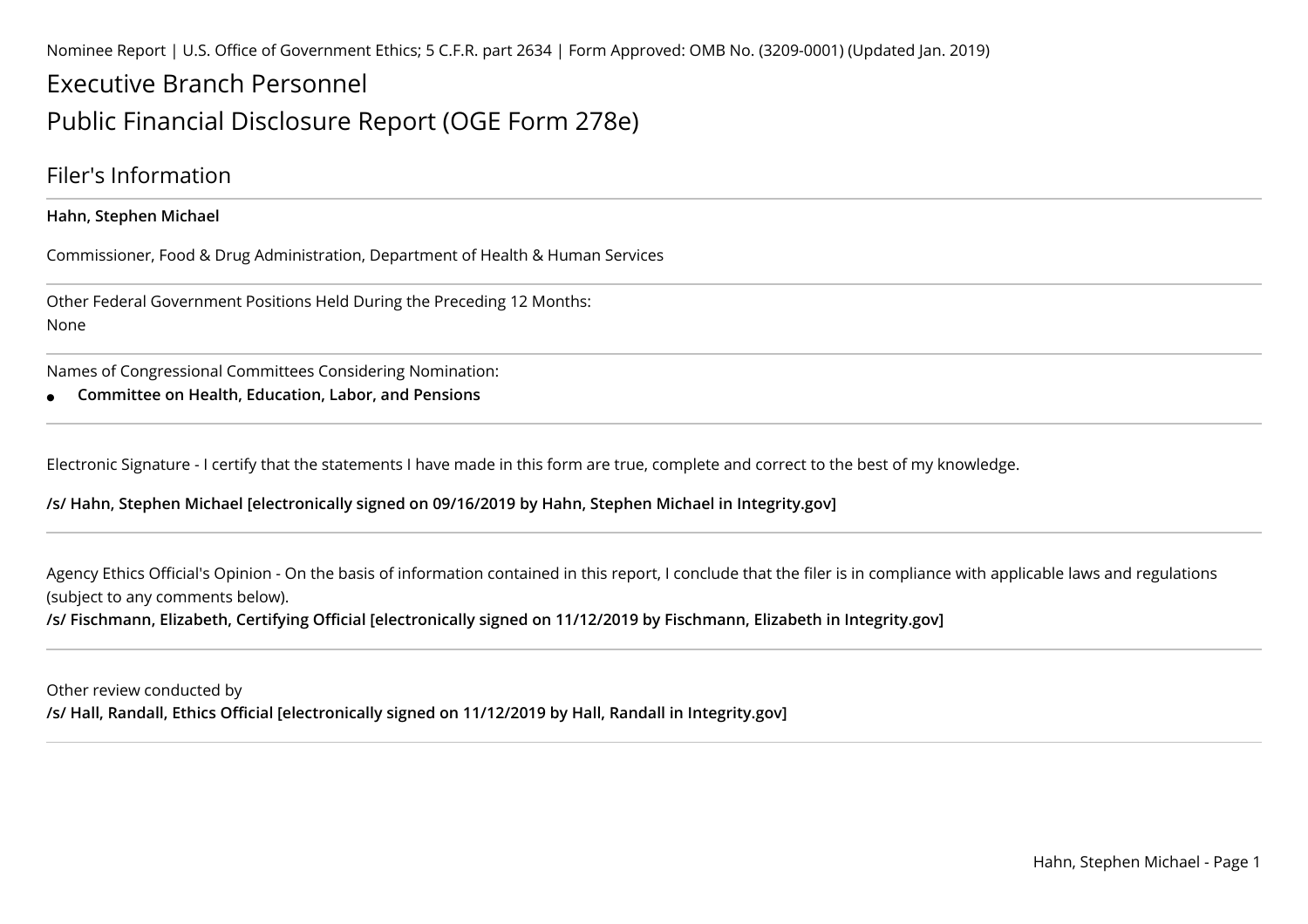Nominee Report | U.S. Office of Government Ethics; 5 C.F.R. part 2634 | Form Approved: OMB No. (3209-0001) (Updated Jan. 2019)

# Executive Branch PersonnelPublic Financial Disclosure Report (OGE Form 278e)

### Filer's Information

**Hahn, Stephen Michael**

Commissioner, Food & Drug Administration, Department of Health & Human Services

Other Federal Government Positions Held During the Preceding 12 Months:None

Names of Congressional Committees Considering Nomination:

●**Committee on Health, Education, Labor, and Pensions**

Electronic Signature - I certify that the statements I have made in this form are true, complete and correct to the best of my knowledge.

**/s/ Hahn, Stephen Michael [electronically signed on 09/16/2019 by Hahn, Stephen Michael in Integrity.gov]** 

Agency Ethics Official's Opinion - On the basis of information contained in this report, I conclude that the filer is in compliance with applicable laws and regulations (subject to any comments below).

**/s/ Fischmann, Elizabeth, Certifying Official [electronically signed on 11/12/2019 by Fischmann, Elizabeth in Integrity.gov]**

Other review conducted by**/s/ Hall, Randall, Ethics Official [electronically signed on 11/12/2019 by Hall, Randall in Integrity.gov]**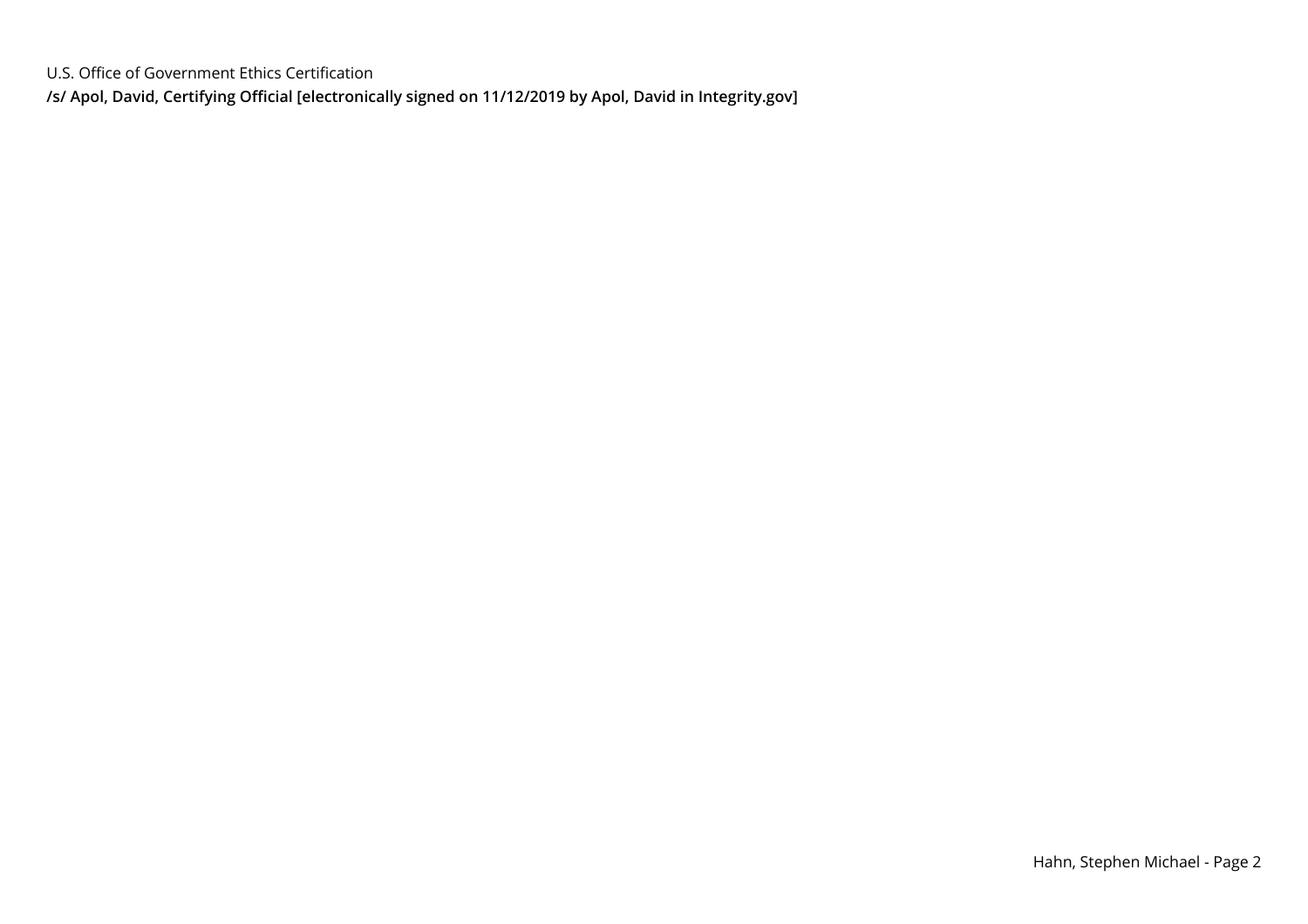U.S. Office of Government Ethics Certification**/s/ Apol, David, Certifying Official [electronically signed on 11/12/2019 by Apol, David in Integrity.gov]**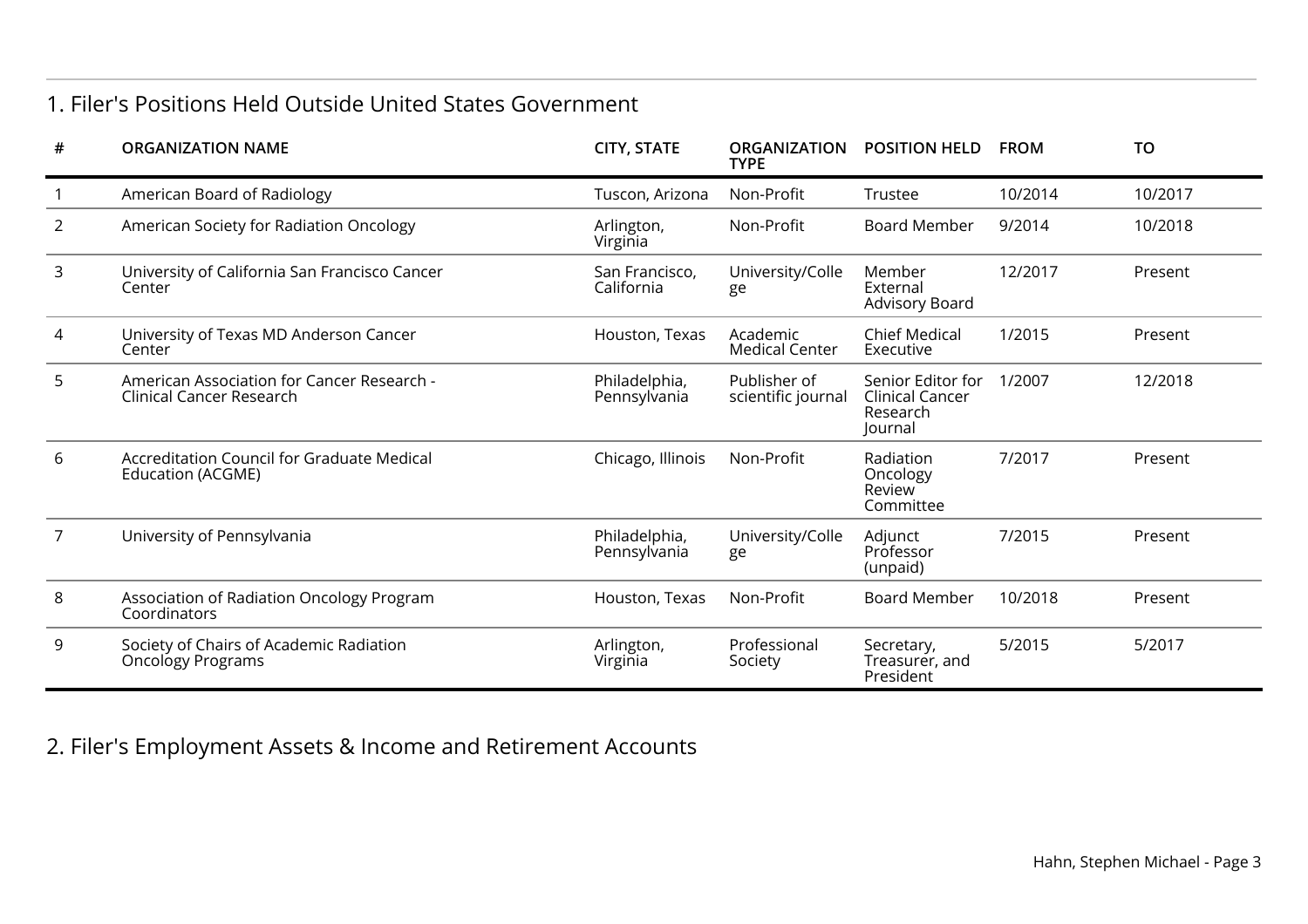### 1. Filer's Positions Held Outside United States Government

| #              | <b>ORGANIZATION NAME</b>                                               | <b>CITY, STATE</b>            | <b>ORGANIZATION</b><br><b>TYPE</b> | <b>POSITION HELD</b>                                        | <b>FROM</b> | <b>TO</b> |
|----------------|------------------------------------------------------------------------|-------------------------------|------------------------------------|-------------------------------------------------------------|-------------|-----------|
|                | American Board of Radiology                                            | Tuscon, Arizona               | Non-Profit                         | Trustee                                                     | 10/2014     | 10/2017   |
| $\overline{2}$ | American Society for Radiation Oncology                                | Arlington,<br>Virginia        | Non-Profit                         | <b>Board Member</b>                                         | 9/2014      | 10/2018   |
| 3              | University of California San Francisco Cancer<br>Center                | San Francisco,<br>California  | University/Colle<br>ge             | Member<br>External<br>Advisory Board                        | 12/2017     | Present   |
| 4              | University of Texas MD Anderson Cancer<br>Center                       | Houston, Texas                | Academic<br><b>Medical Center</b>  | <b>Chief Medical</b><br>Executive                           | 1/2015      | Present   |
| 5              | American Association for Cancer Research -<br>Clinical Cancer Research | Philadelphia,<br>Pennsylvania | Publisher of<br>scientific journal | Senior Editor for<br>Clinical Cancer<br>Research<br>Journal | 1/2007      | 12/2018   |
| 6              | Accreditation Council for Graduate Medical<br>Education (ACGME)        | Chicago, Illinois             | Non-Profit                         | Radiation<br>Oncology<br>Review<br>Committee                | 7/2017      | Present   |
| 7              | University of Pennsylvania                                             | Philadelphia,<br>Pennsylvania | University/Colle<br>ge             | Adjunct<br>Professor<br>(unpaid)                            | 7/2015      | Present   |
| 8              | Association of Radiation Oncology Program<br>Coordinators              | Houston, Texas                | Non-Profit                         | <b>Board Member</b>                                         | 10/2018     | Present   |
| 9              | Society of Chairs of Academic Radiation<br><b>Oncology Programs</b>    | Arlington,<br>Virginia        | Professional<br>Society            | Secretary,<br>Treasurer, and<br>President                   | 5/2015      | 5/2017    |

2. Filer's Employment Assets & Income and Retirement Accounts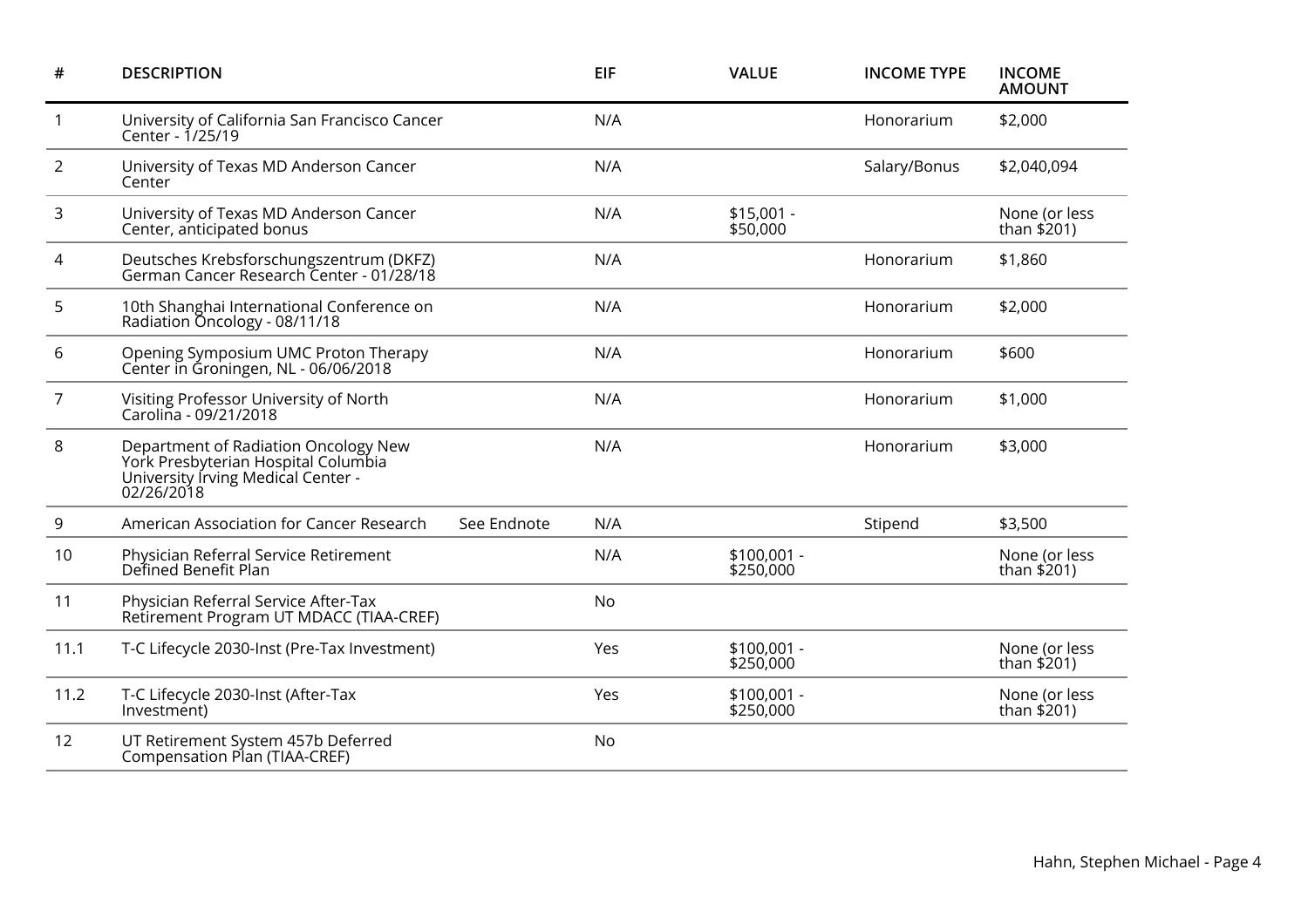| #              | <b>DESCRIPTION</b>                                                                                                              |             | <b>EIF</b> | <b>VALUE</b>              | <b>INCOME TYPE</b> | <b>INCOME</b><br><b>AMOUNT</b> |
|----------------|---------------------------------------------------------------------------------------------------------------------------------|-------------|------------|---------------------------|--------------------|--------------------------------|
| $\mathbf{1}$   | University of California San Francisco Cancer<br>Center - 1/25/19                                                               |             | N/A        |                           | Honorarium         | \$2,000                        |
| $\overline{2}$ | University of Texas MD Anderson Cancer<br>Center                                                                                |             | N/A        |                           | Salary/Bonus       | \$2,040,094                    |
| 3              | University of Texas MD Anderson Cancer<br>Center, anticipated bonus                                                             |             | N/A        | $$15,001 -$<br>\$50,000   |                    | None (or less<br>than $$201)$  |
| 4              | Deutsches Krebsforschungszentrum (DKFZ)<br>German Cancer Research Center - 01/28/18                                             |             | N/A        |                           | Honorarium         | \$1,860                        |
| 5              | 10th Shanghai International Conference on<br>Radiation Oncology - 08/11/18                                                      |             | N/A        |                           | Honorarium         | \$2,000                        |
| 6              | Opening Symposium UMC Proton Therapy<br>Center in Groningen, NL - 06/06/2018                                                    |             | N/A        |                           | Honorarium         | \$600                          |
| $\overline{7}$ | Visiting Professor University of North<br>Carolina - 09/21/2018                                                                 |             | N/A        |                           | Honorarium         | \$1,000                        |
| 8              | Department of Radiation Oncology New<br>York Presbyterian Hospital Columbia<br>University Irving Medical Center -<br>02/26/2018 |             | N/A        |                           | Honorarium         | \$3,000                        |
| 9              | American Association for Cancer Research                                                                                        | See Endnote | N/A        |                           | Stipend            | \$3,500                        |
| 10             | Physician Referral Service Retirement<br>Defined Benefit Plan                                                                   |             | N/A        | $$100,001 -$<br>\$250,000 |                    | None (or less<br>than $$201)$  |
| 11             | Physician Referral Service After-Tax<br>Retirement Program UT MDACC (TIAA-CREF)                                                 |             | No         |                           |                    |                                |
| 11.1           | T-C Lifecycle 2030-Inst (Pre-Tax Investment)                                                                                    |             | Yes        | $$100,001 -$<br>\$250,000 |                    | None (or less<br>than $$201)$  |
| 11.2           | T-C Lifecycle 2030-Inst (After-Tax<br>Investment)                                                                               |             | Yes        | \$100,001 -<br>\$250,000  |                    | None (or less<br>than \$201)   |
| 12             | UT Retirement System 457b Deferred<br>Compensation Plan (TIAA-CREF)                                                             |             | No         |                           |                    |                                |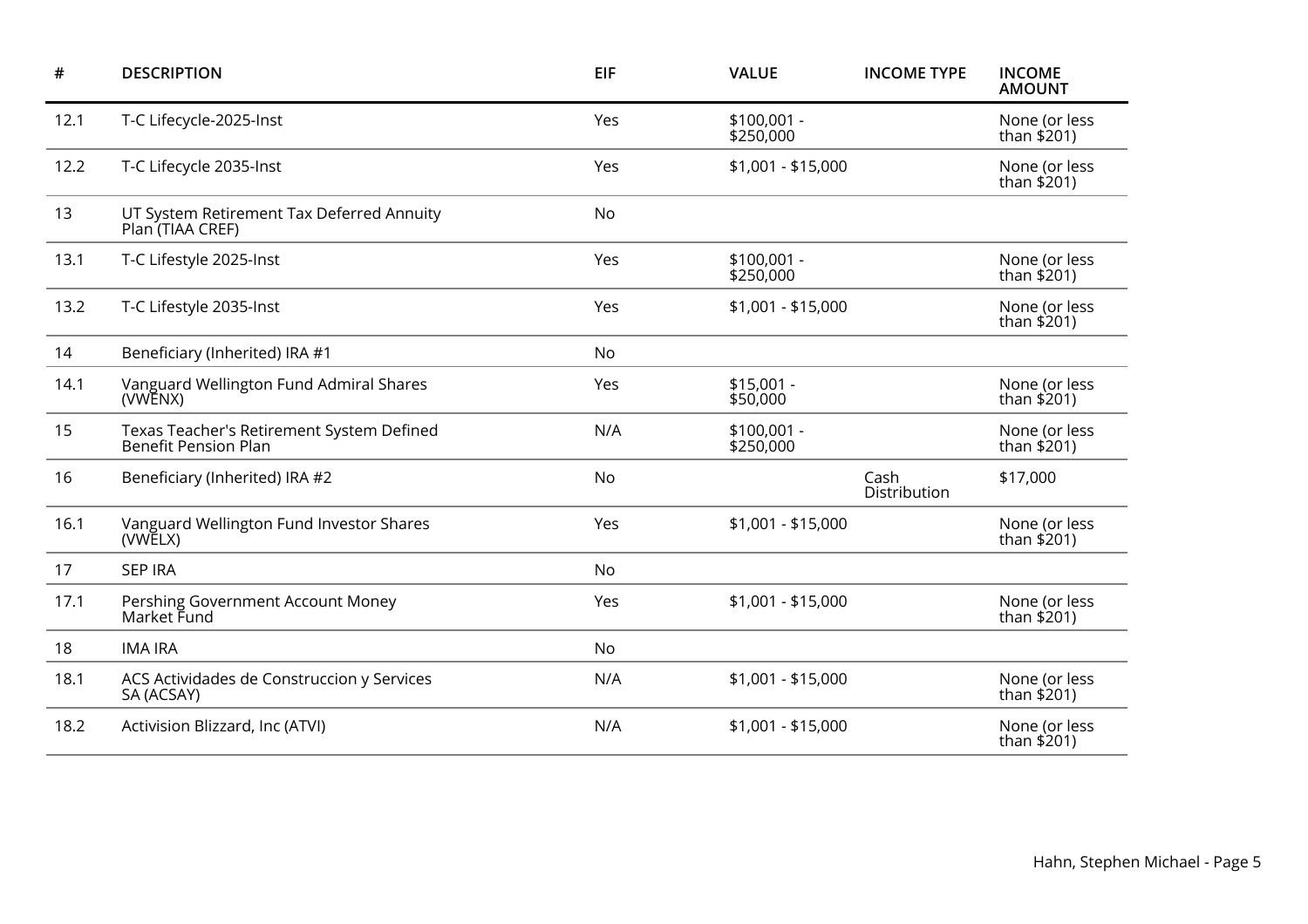| #    | <b>DESCRIPTION</b>                                                       | <b>EIF</b> | <b>VALUE</b>              | <b>INCOME TYPE</b>   | <b>INCOME</b><br><b>AMOUNT</b> |
|------|--------------------------------------------------------------------------|------------|---------------------------|----------------------|--------------------------------|
| 12.1 | T-C Lifecycle-2025-Inst                                                  | Yes        | $$100,001 -$<br>\$250,000 |                      | None (or less<br>than $$201$ ) |
| 12.2 | T-C Lifecycle 2035-Inst                                                  | Yes        | $$1,001 - $15,000$        |                      | None (or less<br>than \$201)   |
| 13   | UT System Retirement Tax Deferred Annuity<br>Plan (TIAA CREF)            | No         |                           |                      |                                |
| 13.1 | T-C Lifestyle 2025-Inst                                                  | Yes        | $$100,001 -$<br>\$250,000 |                      | None (or less<br>than $$201)$  |
| 13.2 | T-C Lifestyle 2035-Inst                                                  | Yes        | $$1,001 - $15,000$        |                      | None (or less<br>than $$201$ ) |
| 14   | Beneficiary (Inherited) IRA #1                                           | No         |                           |                      |                                |
| 14.1 | Vanguard Wellington Fund Admiral Shares<br>(VWENX)                       | Yes        | $$15,001 -$<br>\$50,000   |                      | None (or less<br>than $$201$ ) |
| 15   | Texas Teacher's Retirement System Defined<br><b>Benefit Pension Plan</b> | N/A        | $$100,001 -$<br>\$250,000 |                      | None (or less<br>than \$201)   |
| 16   | Beneficiary (Inherited) IRA #2                                           | No         |                           | Cash<br>Distribution | \$17,000                       |
| 16.1 | Vanguard Wellington Fund Investor Shares<br>(VWELX)                      | Yes        | $$1,001 - $15,000$        |                      | None (or less<br>than $$201)$  |
| 17   | <b>SEP IRA</b>                                                           | No         |                           |                      |                                |
| 17.1 | Pershing Government Account Money<br>Market Fund                         | Yes        | $$1,001 - $15,000$        |                      | None (or less<br>than \$201)   |
| 18   | <b>IMA IRA</b>                                                           | No         |                           |                      |                                |
| 18.1 | ACS Actividades de Construccion y Services<br>SA (ACSAY)                 | N/A        | \$1,001 - \$15,000        |                      | None (or less<br>than $$201)$  |
| 18.2 | Activision Blizzard, Inc (ATVI)                                          | N/A        | \$1,001 - \$15,000        |                      | None (or less<br>than \$201)   |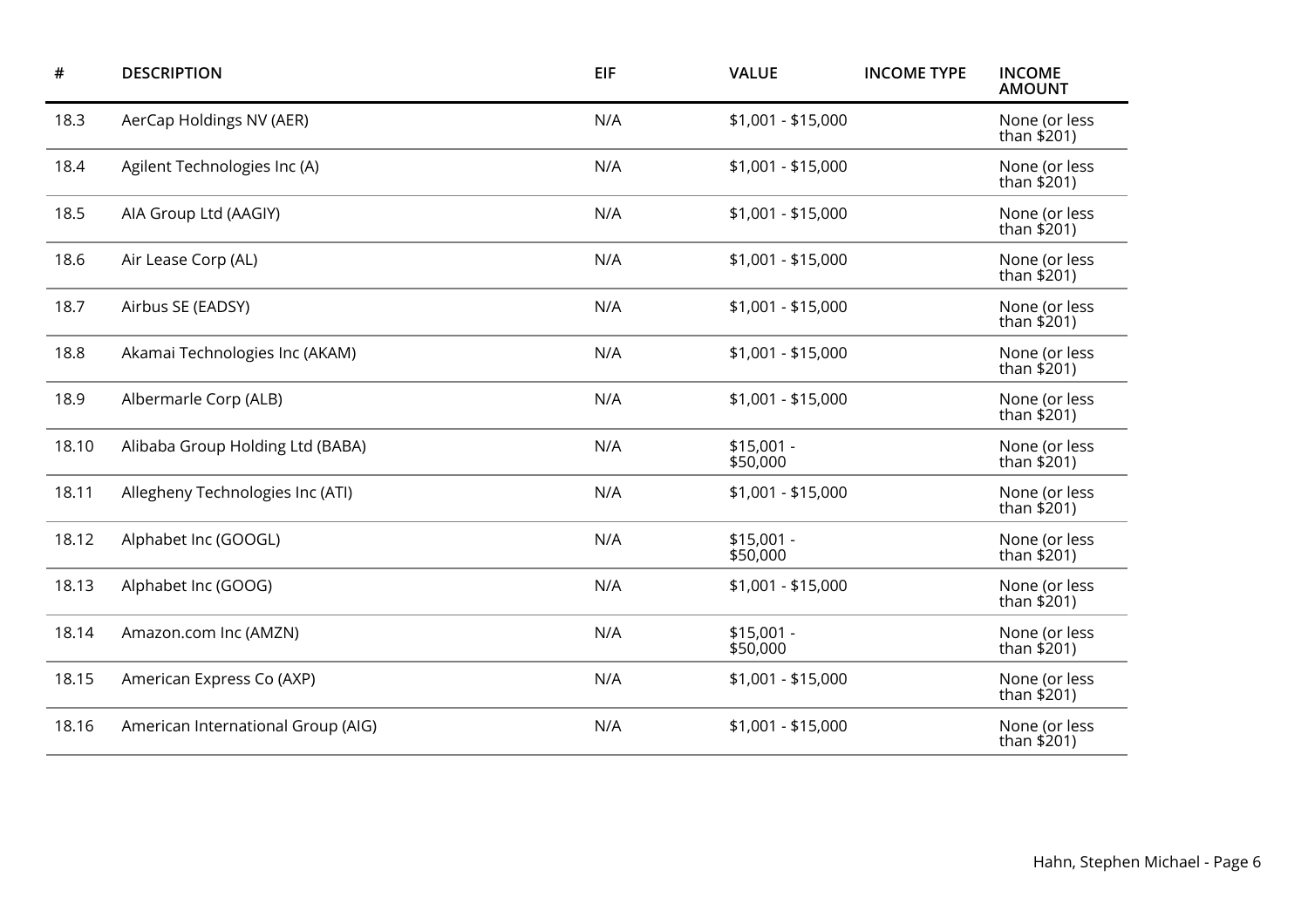| $\#$  | <b>DESCRIPTION</b>                 | <b>EIF</b> | <b>VALUE</b>            | <b>INCOME TYPE</b> | <b>INCOME</b><br><b>AMOUNT</b> |
|-------|------------------------------------|------------|-------------------------|--------------------|--------------------------------|
| 18.3  | AerCap Holdings NV (AER)           | N/A        | $$1,001 - $15,000$      |                    | None (or less<br>than \$201)   |
| 18.4  | Agilent Technologies Inc (A)       | N/A        | $$1,001 - $15,000$      |                    | None (or less<br>than $$201)$  |
| 18.5  | AIA Group Ltd (AAGIY)              | N/A        | $$1,001 - $15,000$      |                    | None (or less<br>than \$201)   |
| 18.6  | Air Lease Corp (AL)                | N/A        | $$1,001 - $15,000$      |                    | None (or less<br>than $$201)$  |
| 18.7  | Airbus SE (EADSY)                  | N/A        | $$1,001 - $15,000$      |                    | None (or less<br>than $$201)$  |
| 18.8  | Akamai Technologies Inc (AKAM)     | N/A        | $$1,001 - $15,000$      |                    | None (or less<br>than $$201)$  |
| 18.9  | Albermarle Corp (ALB)              | N/A        | $$1,001 - $15,000$      |                    | None (or less<br>than \$201)   |
| 18.10 | Alibaba Group Holding Ltd (BABA)   | N/A        | $$15,001 -$<br>\$50,000 |                    | None (or less<br>than \$201)   |
| 18.11 | Allegheny Technologies Inc (ATI)   | N/A        | $$1,001 - $15,000$      |                    | None (or less<br>than \$201)   |
| 18.12 | Alphabet Inc (GOOGL)               | N/A        | $$15,001 -$<br>\$50,000 |                    | None (or less<br>than \$201)   |
| 18.13 | Alphabet Inc (GOOG)                | N/A        | $$1,001 - $15,000$      |                    | None (or less<br>than $$201$ ) |
| 18.14 | Amazon.com Inc (AMZN)              | N/A        | $$15,001 -$<br>\$50,000 |                    | None (or less<br>than \$201)   |
| 18.15 | American Express Co (AXP)          | N/A        | $$1,001 - $15,000$      |                    | None (or less<br>than $$201$ ) |
| 18.16 | American International Group (AIG) | N/A        | $$1,001 - $15,000$      |                    | None (or less<br>than \$201)   |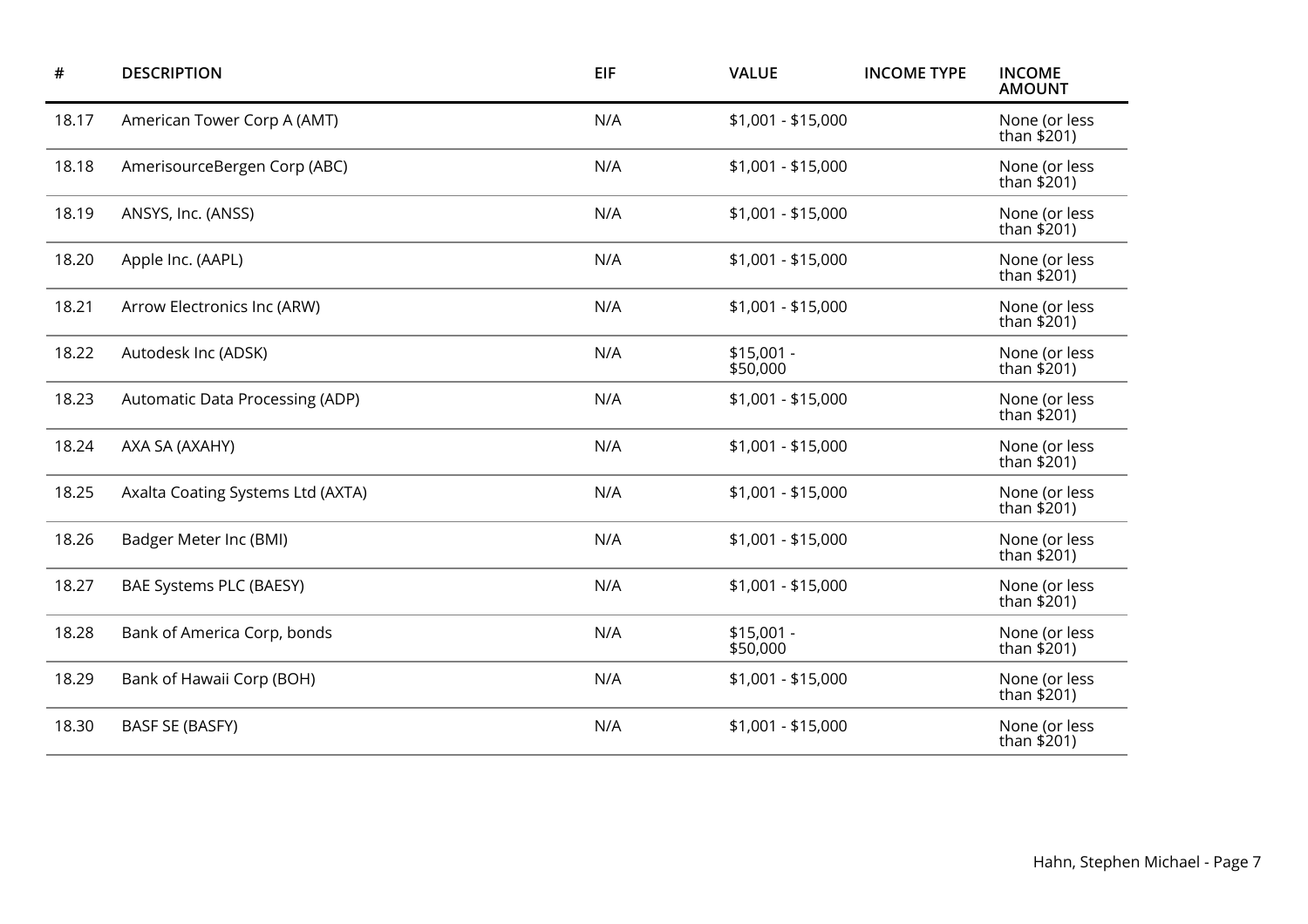| $\#$  | <b>DESCRIPTION</b>                | EIF | <b>VALUE</b>            | <b>INCOME TYPE</b> | <b>INCOME</b><br><b>AMOUNT</b> |
|-------|-----------------------------------|-----|-------------------------|--------------------|--------------------------------|
| 18.17 | American Tower Corp A (AMT)       | N/A | $$1,001 - $15,000$      |                    | None (or less<br>than \$201)   |
| 18.18 | AmerisourceBergen Corp (ABC)      | N/A | $$1,001 - $15,000$      |                    | None (or less<br>than $$201)$  |
| 18.19 | ANSYS, Inc. (ANSS)                | N/A | $$1,001 - $15,000$      |                    | None (or less<br>than \$201)   |
| 18.20 | Apple Inc. (AAPL)                 | N/A | $$1,001 - $15,000$      |                    | None (or less<br>than $$201)$  |
| 18.21 | Arrow Electronics Inc (ARW)       | N/A | $$1,001 - $15,000$      |                    | None (or less<br>than \$201)   |
| 18.22 | Autodesk Inc (ADSK)               | N/A | $$15,001 -$<br>\$50,000 |                    | None (or less<br>than $$201)$  |
| 18.23 | Automatic Data Processing (ADP)   | N/A | $$1,001 - $15,000$      |                    | None (or less<br>than $$201)$  |
| 18.24 | AXA SA (AXAHY)                    | N/A | \$1,001 - \$15,000      |                    | None (or less<br>than \$201)   |
| 18.25 | Axalta Coating Systems Ltd (AXTA) | N/A | $$1,001 - $15,000$      |                    | None (or less<br>than \$201)   |
| 18.26 | Badger Meter Inc (BMI)            | N/A | \$1,001 - \$15,000      |                    | None (or less<br>than \$201)   |
| 18.27 | BAE Systems PLC (BAESY)           | N/A | $$1,001 - $15,000$      |                    | None (or less<br>than \$201)   |
| 18.28 | Bank of America Corp, bonds       | N/A | $$15,001 -$<br>\$50,000 |                    | None (or less<br>than \$201)   |
| 18.29 | Bank of Hawaii Corp (BOH)         | N/A | $$1,001 - $15,000$      |                    | None (or less<br>than $$201$ ) |
| 18.30 | <b>BASF SE (BASFY)</b>            | N/A | $$1,001 - $15,000$      |                    | None (or less<br>than \$201)   |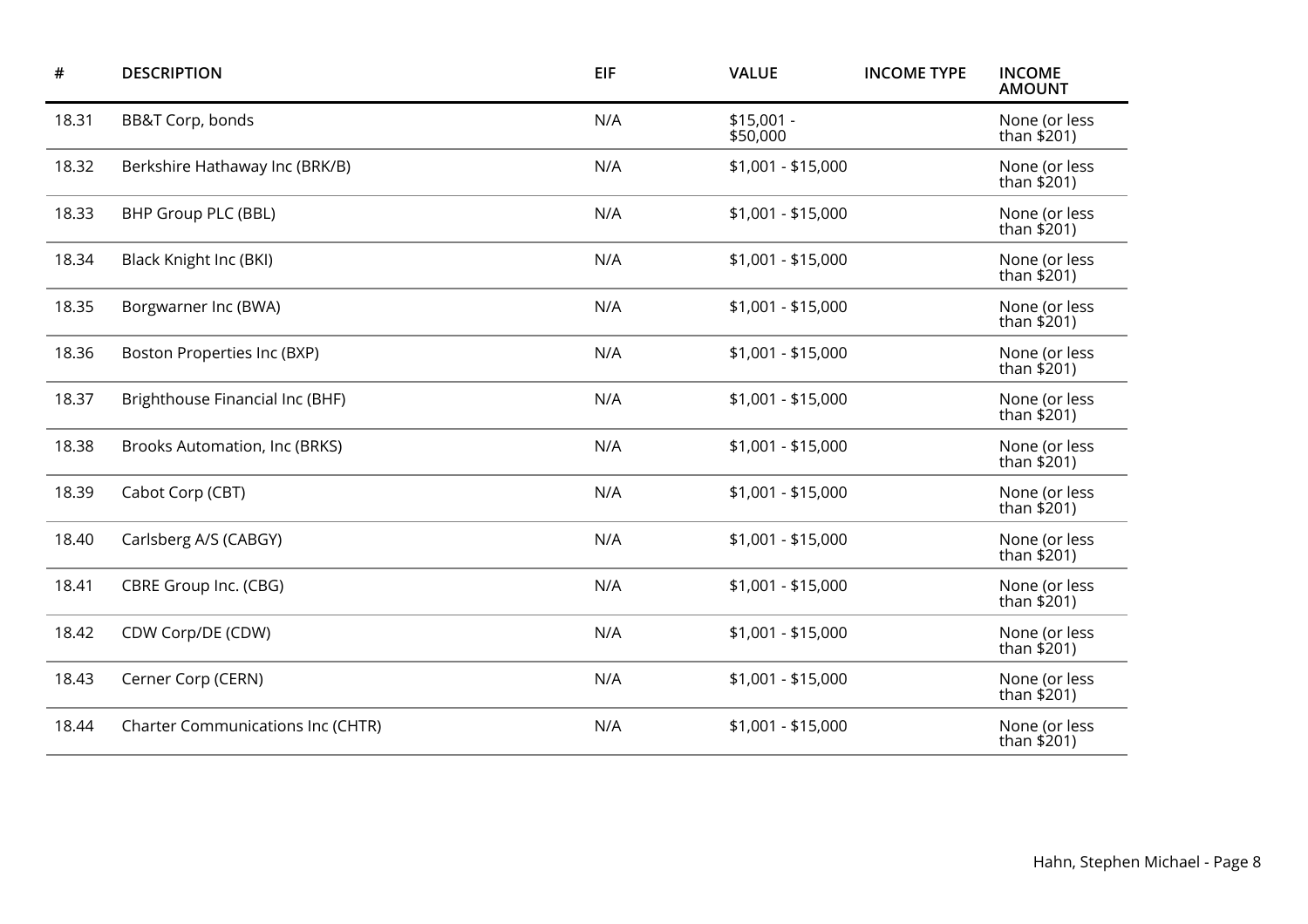| #     | <b>DESCRIPTION</b>                       | EIF | <b>VALUE</b>            | <b>INCOME TYPE</b> | <b>INCOME</b><br><b>AMOUNT</b> |
|-------|------------------------------------------|-----|-------------------------|--------------------|--------------------------------|
| 18.31 | BB&T Corp, bonds                         | N/A | $$15,001 -$<br>\$50,000 |                    | None (or less<br>than \$201)   |
| 18.32 | Berkshire Hathaway Inc (BRK/B)           | N/A | $$1,001 - $15,000$      |                    | None (or less<br>than $$201)$  |
| 18.33 | BHP Group PLC (BBL)                      | N/A | \$1,001 - \$15,000      |                    | None (or less<br>than \$201)   |
| 18.34 | Black Knight Inc (BKI)                   | N/A | $$1,001 - $15,000$      |                    | None (or less<br>than \$201)   |
| 18.35 | Borgwarner Inc (BWA)                     | N/A | \$1,001 - \$15,000      |                    | None (or less<br>than \$201)   |
| 18.36 | Boston Properties Inc (BXP)              | N/A | $$1,001 - $15,000$      |                    | None (or less<br>than \$201)   |
| 18.37 | Brighthouse Financial Inc (BHF)          | N/A | \$1,001 - \$15,000      |                    | None (or less<br>than $$201)$  |
| 18.38 | Brooks Automation, Inc (BRKS)            | N/A | $$1,001 - $15,000$      |                    | None (or less<br>than \$201)   |
| 18.39 | Cabot Corp (CBT)                         | N/A | $$1,001 - $15,000$      |                    | None (or less<br>than $$201$ ) |
| 18.40 | Carlsberg A/S (CABGY)                    | N/A | $$1,001 - $15,000$      |                    | None (or less<br>than $$201)$  |
| 18.41 | CBRE Group Inc. (CBG)                    | N/A | $$1,001 - $15,000$      |                    | None (or less<br>than $$201$ ) |
| 18.42 | CDW Corp/DE (CDW)                        | N/A | $$1,001 - $15,000$      |                    | None (or less<br>than \$201)   |
| 18.43 | Cerner Corp (CERN)                       | N/A | $$1,001 - $15,000$      |                    | None (or less<br>than $$201$ ) |
| 18.44 | <b>Charter Communications Inc (CHTR)</b> | N/A | $$1,001 - $15,000$      |                    | None (or less<br>than \$201)   |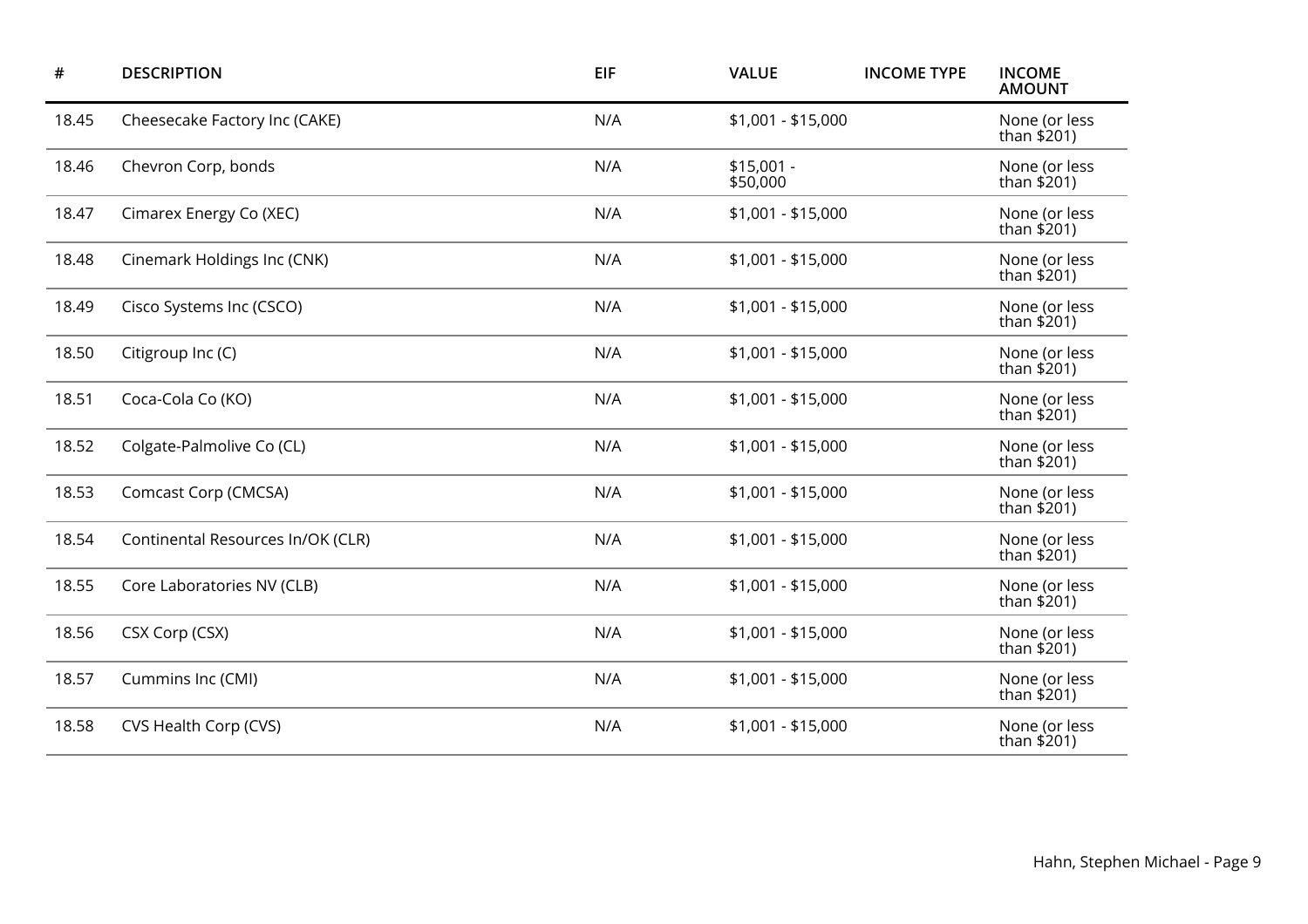| $\#$  | <b>DESCRIPTION</b>                | <b>EIF</b> | <b>VALUE</b>            | <b>INCOME TYPE</b> | <b>INCOME</b><br><b>AMOUNT</b> |
|-------|-----------------------------------|------------|-------------------------|--------------------|--------------------------------|
| 18.45 | Cheesecake Factory Inc (CAKE)     | N/A        | $$1,001 - $15,000$      |                    | None (or less<br>than $$201)$  |
| 18.46 | Chevron Corp, bonds               | N/A        | $$15,001 -$<br>\$50,000 |                    | None (or less<br>than $$201)$  |
| 18.47 | Cimarex Energy Co (XEC)           | N/A        | $$1,001 - $15,000$      |                    | None (or less<br>than $$201)$  |
| 18.48 | Cinemark Holdings Inc (CNK)       | N/A        | $$1,001 - $15,000$      |                    | None (or less<br>than $$201)$  |
| 18.49 | Cisco Systems Inc (CSCO)          | N/A        | \$1,001 - \$15,000      |                    | None (or less<br>than \$201)   |
| 18.50 | Citigroup Inc (C)                 | N/A        | $$1,001 - $15,000$      |                    | None (or less<br>than $$201)$  |
| 18.51 | Coca-Cola Co (KO)                 | N/A        | $$1,001 - $15,000$      |                    | None (or less<br>than $$201)$  |
| 18.52 | Colgate-Palmolive Co (CL)         | N/A        | $$1,001 - $15,000$      |                    | None (or less<br>than \$201)   |
| 18.53 | Comcast Corp (CMCSA)              | N/A        | $$1,001 - $15,000$      |                    | None (or less<br>than $$201)$  |
| 18.54 | Continental Resources In/OK (CLR) | N/A        | $$1,001 - $15,000$      |                    | None (or less<br>than \$201)   |
| 18.55 | Core Laboratories NV (CLB)        | N/A        | \$1,001 - \$15,000      |                    | None (or less<br>than $$201)$  |
| 18.56 | CSX Corp (CSX)                    | N/A        | $$1,001 - $15,000$      |                    | None (or less<br>than $$201)$  |
| 18.57 | Cummins Inc (CMI)                 | N/A        | \$1,001 - \$15,000      |                    | None (or less<br>than \$201)   |
| 18.58 | CVS Health Corp (CVS)             | N/A        | \$1,001 - \$15,000      |                    | None (or less<br>than \$201)   |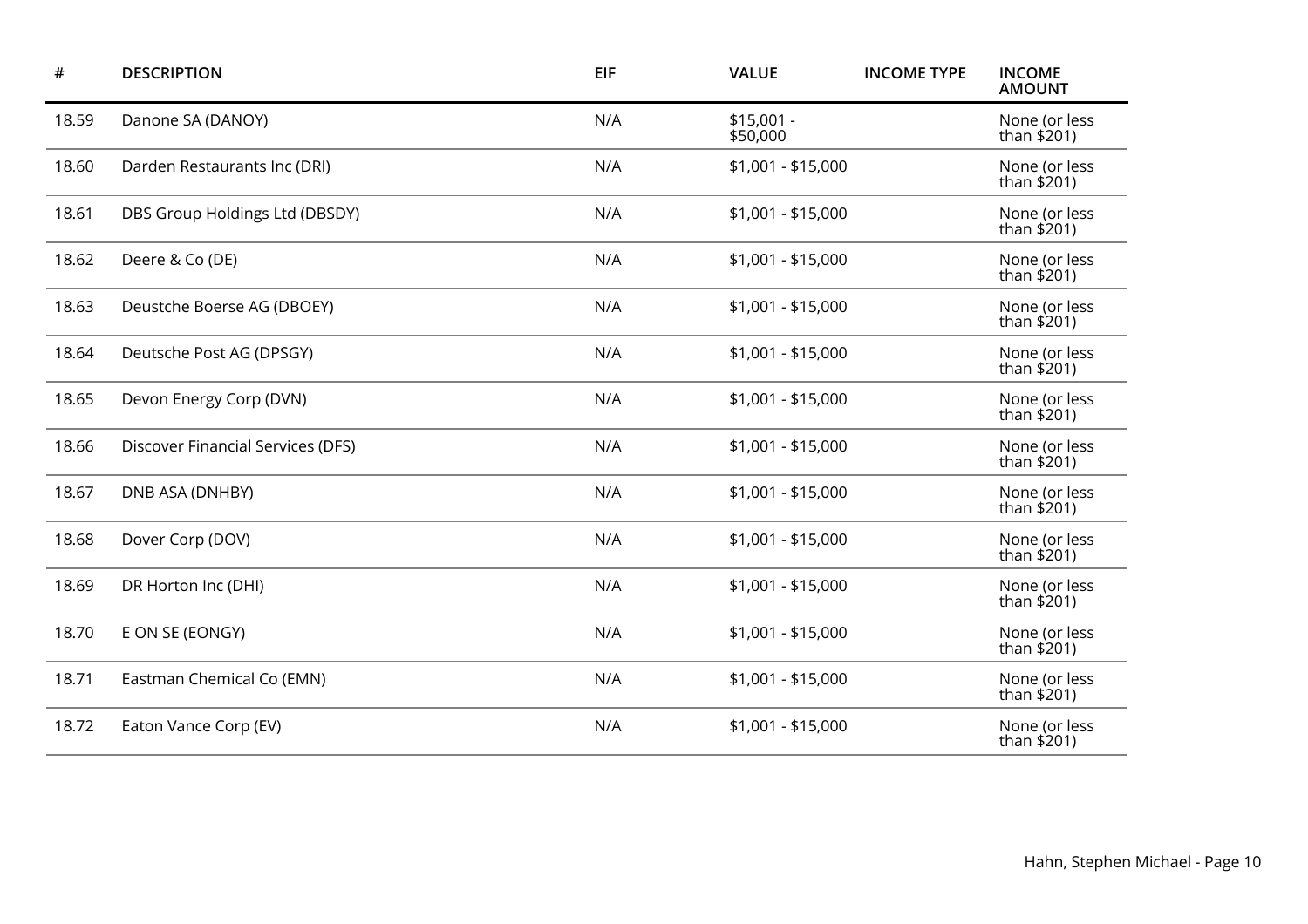| #     | <b>DESCRIPTION</b>                | EIF | <b>VALUE</b>            | <b>INCOME TYPE</b> | <b>INCOME</b><br><b>AMOUNT</b> |
|-------|-----------------------------------|-----|-------------------------|--------------------|--------------------------------|
| 18.59 | Danone SA (DANOY)                 | N/A | $$15,001 -$<br>\$50,000 |                    | None (or less<br>than \$201)   |
| 18.60 | Darden Restaurants Inc (DRI)      | N/A | $$1,001 - $15,000$      |                    | None (or less<br>than $$201)$  |
| 18.61 | DBS Group Holdings Ltd (DBSDY)    | N/A | $$1,001 - $15,000$      |                    | None (or less<br>than $$201)$  |
| 18.62 | Deere & Co (DE)                   | N/A | $$1,001 - $15,000$      |                    | None (or less<br>than $$201)$  |
| 18.63 | Deustche Boerse AG (DBOEY)        | N/A | $$1,001 - $15,000$      |                    | None (or less<br>than $$201)$  |
| 18.64 | Deutsche Post AG (DPSGY)          | N/A | \$1,001 - \$15,000      |                    | None (or less<br>than $$201)$  |
| 18.65 | Devon Energy Corp (DVN)           | N/A | $$1,001 - $15,000$      |                    | None (or less<br>than $$201)$  |
| 18.66 | Discover Financial Services (DFS) | N/A | \$1,001 - \$15,000      |                    | None (or less<br>than \$201)   |
| 18.67 | DNB ASA (DNHBY)                   | N/A | $$1,001 - $15,000$      |                    | None (or less<br>than \$201)   |
| 18.68 | Dover Corp (DOV)                  | N/A | \$1,001 - \$15,000      |                    | None (or less<br>than \$201)   |
| 18.69 | DR Horton Inc (DHI)               | N/A | $$1,001 - $15,000$      |                    | None (or less<br>than $$201$ ) |
| 18.70 | E ON SE (EONGY)                   | N/A | \$1,001 - \$15,000      |                    | None (or less<br>than \$201)   |
| 18.71 | Eastman Chemical Co (EMN)         | N/A | $$1,001 - $15,000$      |                    | None (or less<br>than $$201$ ) |
| 18.72 | Eaton Vance Corp (EV)             | N/A | $$1,001 - $15,000$      |                    | None (or less<br>than \$201)   |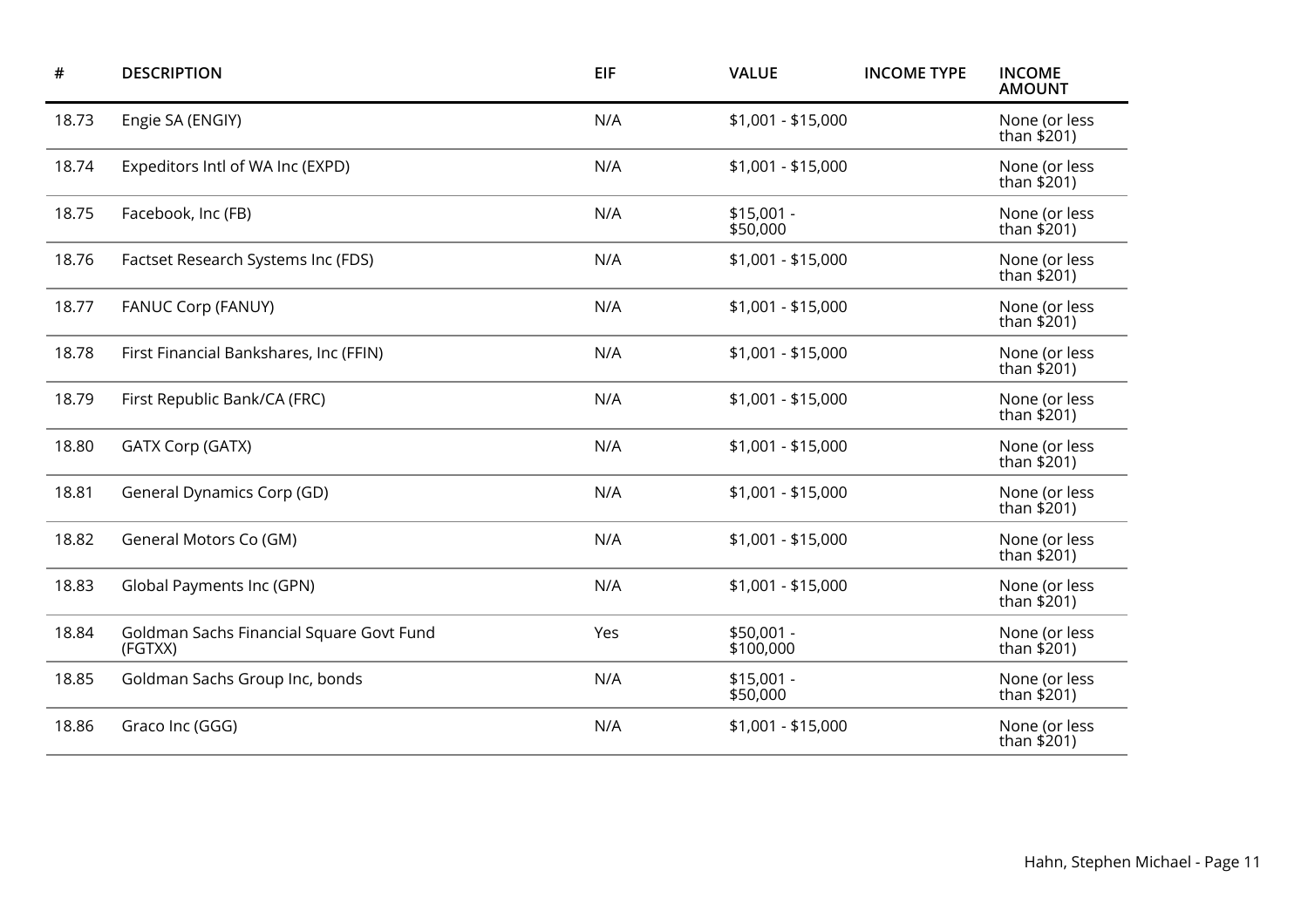| #     | <b>DESCRIPTION</b>                                  | EIF | <b>VALUE</b>            | <b>INCOME TYPE</b> | <b>INCOME</b><br><b>AMOUNT</b> |
|-------|-----------------------------------------------------|-----|-------------------------|--------------------|--------------------------------|
| 18.73 | Engie SA (ENGIY)                                    | N/A | $$1,001 - $15,000$      |                    | None (or less<br>than \$201)   |
| 18.74 | Expeditors Intl of WA Inc (EXPD)                    | N/A | $$1,001 - $15,000$      |                    | None (or less<br>than $$201)$  |
| 18.75 | Facebook, Inc (FB)                                  | N/A | $$15,001 -$<br>\$50,000 |                    | None (or less<br>than $$201)$  |
| 18.76 | Factset Research Systems Inc (FDS)                  | N/A | $$1,001 - $15,000$      |                    | None (or less<br>than \$201)   |
| 18.77 | FANUC Corp (FANUY)                                  | N/A | \$1,001 - \$15,000      |                    | None (or less<br>than $$201)$  |
| 18.78 | First Financial Bankshares, Inc (FFIN)              | N/A | $$1,001 - $15,000$      |                    | None (or less<br>than $$201)$  |
| 18.79 | First Republic Bank/CA (FRC)                        | N/A | \$1,001 - \$15,000      |                    | None (or less<br>than $$201)$  |
| 18.80 | GATX Corp (GATX)                                    | N/A | $$1,001 - $15,000$      |                    | None (or less<br>than \$201)   |
| 18.81 | General Dynamics Corp (GD)                          | N/A | $$1,001 - $15,000$      |                    | None (or less<br>than $$201$ ) |
| 18.82 | General Motors Co (GM)                              | N/A | $$1,001 - $15,000$      |                    | None (or less<br>than \$201)   |
| 18.83 | Global Payments Inc (GPN)                           | N/A | $$1,001 - $15,000$      |                    | None (or less<br>than $$201$ ) |
| 18.84 | Goldman Sachs Financial Square Govt Fund<br>(FGTXX) | Yes | \$50,001 -<br>\$100,000 |                    | None (or less<br>than \$201)   |
| 18.85 | Goldman Sachs Group Inc, bonds                      | N/A | $$15,001 -$<br>\$50,000 |                    | None (or less<br>than $$201$ ) |
| 18.86 | Graco Inc (GGG)                                     | N/A | \$1,001 - \$15,000      |                    | None (or less<br>than \$201)   |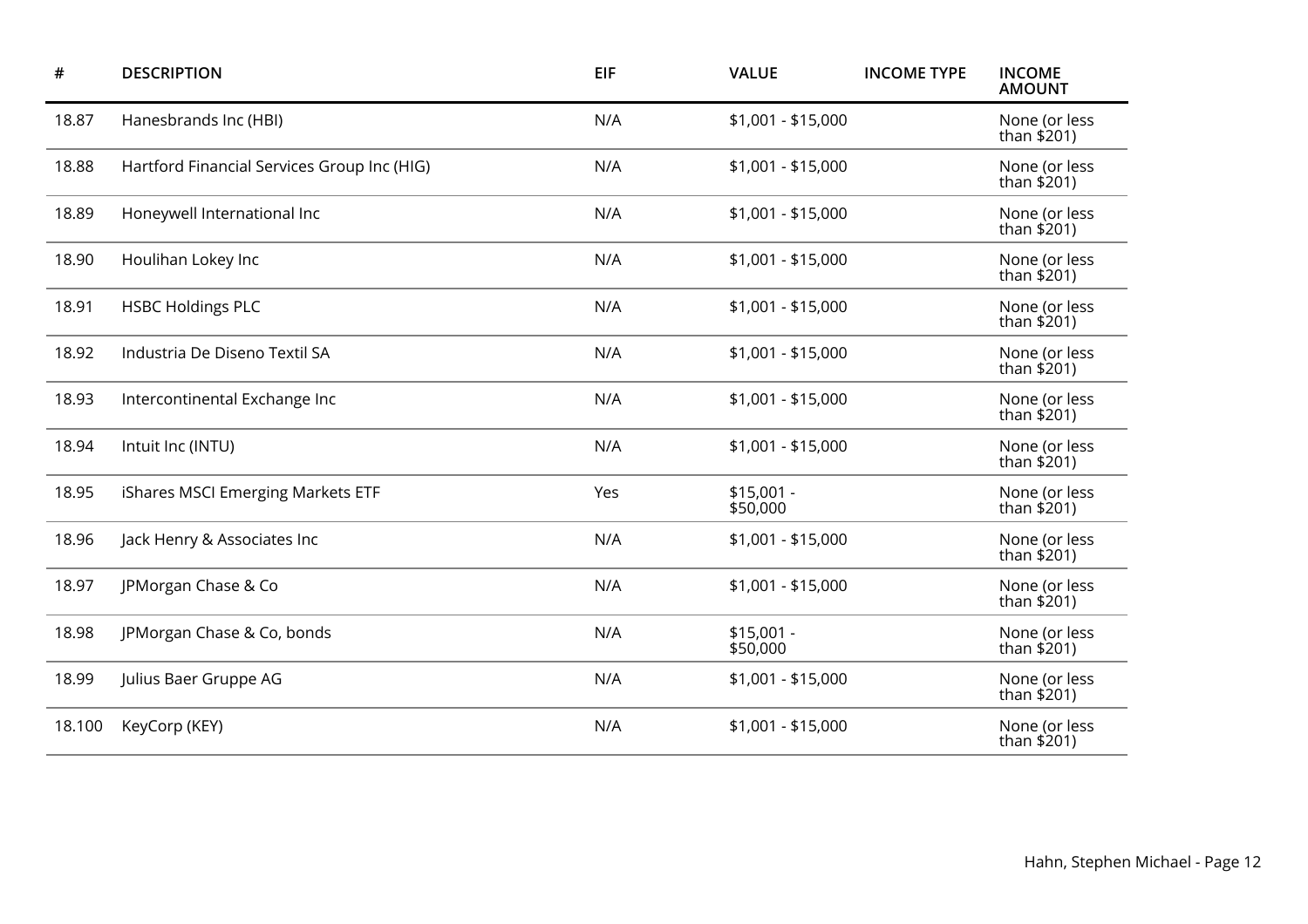| #      | <b>DESCRIPTION</b>                          | EIF | <b>VALUE</b>            | <b>INCOME TYPE</b> | <b>INCOME</b><br><b>AMOUNT</b> |
|--------|---------------------------------------------|-----|-------------------------|--------------------|--------------------------------|
| 18.87  | Hanesbrands Inc (HBI)                       | N/A | $$1,001 - $15,000$      |                    | None (or less<br>than $$201)$  |
| 18.88  | Hartford Financial Services Group Inc (HIG) | N/A | \$1,001 - \$15,000      |                    | None (or less<br>than \$201)   |
| 18.89  | Honeywell International Inc                 | N/A | $$1,001 - $15,000$      |                    | None (or less<br>than $$201)$  |
| 18.90  | Houlihan Lokey Inc                          | N/A | $$1,001 - $15,000$      |                    | None (or less<br>than \$201)   |
| 18.91  | <b>HSBC Holdings PLC</b>                    | N/A | $$1,001 - $15,000$      |                    | None (or less<br>than $$201)$  |
| 18.92  | Industria De Diseno Textil SA               | N/A | $$1,001 - $15,000$      |                    | None (or less<br>than \$201)   |
| 18.93  | Intercontinental Exchange Inc               | N/A | $$1,001 - $15,000$      |                    | None (or less<br>than $$201)$  |
| 18.94  | Intuit Inc (INTU)                           | N/A | $$1,001 - $15,000$      |                    | None (or less<br>than \$201)   |
| 18.95  | iShares MSCI Emerging Markets ETF           | Yes | $$15,001 -$<br>\$50,000 |                    | None (or less<br>than \$201)   |
| 18.96  | Jack Henry & Associates Inc                 | N/A | $$1,001 - $15,000$      |                    | None (or less<br>than $$201)$  |
| 18.97  | JPMorgan Chase & Co                         | N/A | $$1,001 - $15,000$      |                    | None (or less<br>than \$201)   |
| 18.98  | JPMorgan Chase & Co, bonds                  | N/A | $$15,001 -$<br>\$50,000 |                    | None (or less<br>than $$201)$  |
| 18.99  | Julius Baer Gruppe AG                       | N/A | $$1,001 - $15,000$      |                    | None (or less<br>than \$201)   |
| 18.100 | KeyCorp (KEY)                               | N/A | $$1,001 - $15,000$      |                    | None (or less<br>than \$201)   |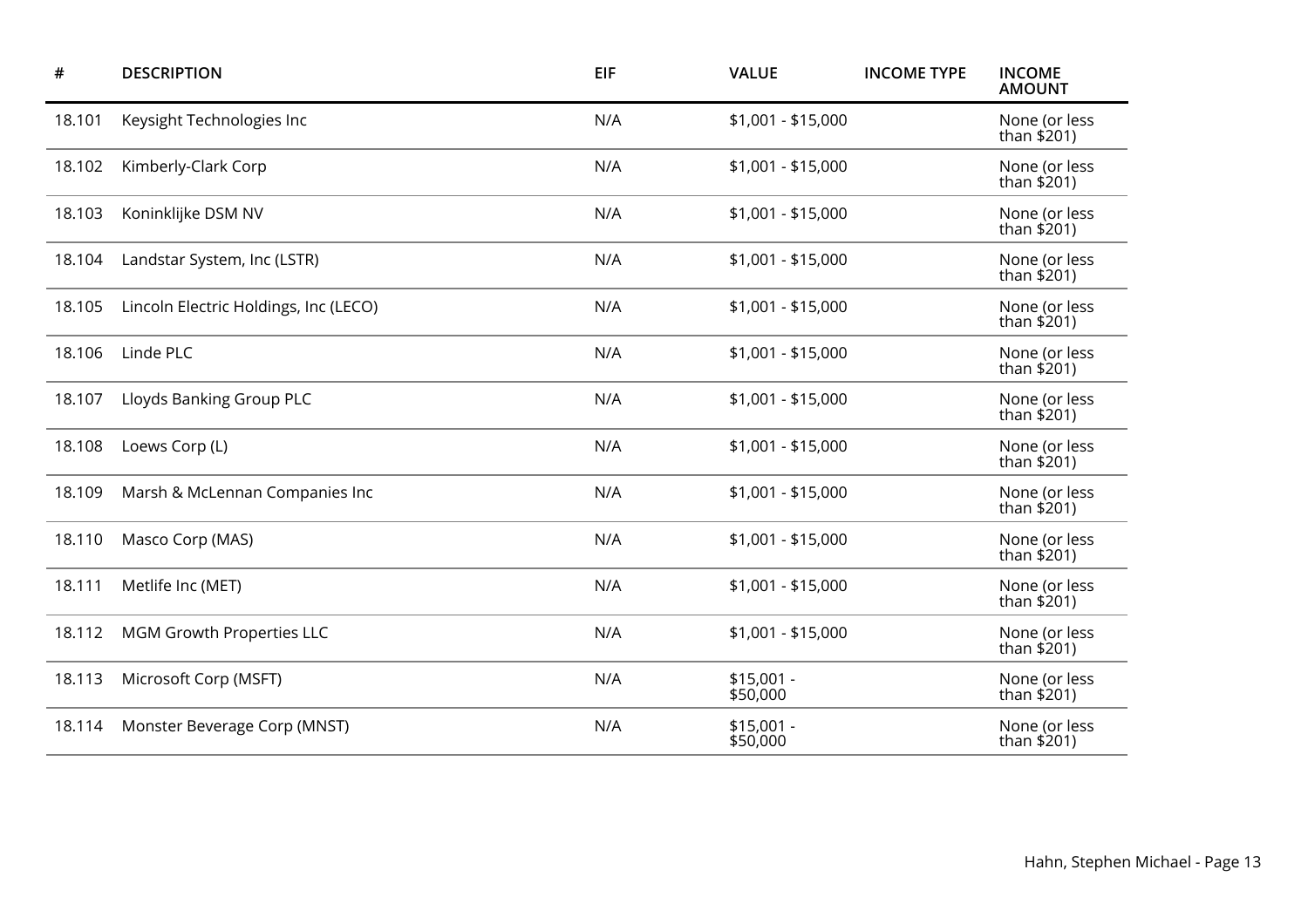| #      | <b>DESCRIPTION</b>                    | <b>EIF</b> | <b>VALUE</b>            | <b>INCOME TYPE</b> | <b>INCOME</b><br><b>AMOUNT</b> |
|--------|---------------------------------------|------------|-------------------------|--------------------|--------------------------------|
| 18.101 | Keysight Technologies Inc             | N/A        | \$1,001 - \$15,000      |                    | None (or less<br>than \$201)   |
| 18.102 | Kimberly-Clark Corp                   | N/A        | $$1,001 - $15,000$      |                    | None (or less<br>than \$201)   |
| 18.103 | Koninklijke DSM NV                    | N/A        | \$1,001 - \$15,000      |                    | None (or less<br>than \$201)   |
| 18.104 | Landstar System, Inc (LSTR)           | N/A        | \$1,001 - \$15,000      |                    | None (or less<br>than \$201)   |
| 18.105 | Lincoln Electric Holdings, Inc (LECO) | N/A        | \$1,001 - \$15,000      |                    | None (or less<br>than \$201)   |
| 18.106 | Linde PLC                             | N/A        | \$1,001 - \$15,000      |                    | None (or less<br>than \$201)   |
| 18.107 | Lloyds Banking Group PLC              | N/A        | \$1,001 - \$15,000      |                    | None (or less<br>than $$201)$  |
| 18.108 | Loews Corp (L)                        | N/A        | \$1,001 - \$15,000      |                    | None (or less<br>than \$201)   |
| 18.109 | Marsh & McLennan Companies Inc        | N/A        | $$1,001 - $15,000$      |                    | None (or less<br>than $$201$ ) |
| 18.110 | Masco Corp (MAS)                      | N/A        | \$1,001 - \$15,000      |                    | None (or less<br>than \$201)   |
| 18.111 | Metlife Inc (MET)                     | N/A        | $$1,001 - $15,000$      |                    | None (or less<br>than $$201$ ) |
| 18.112 | MGM Growth Properties LLC             | N/A        | \$1,001 - \$15,000      |                    | None (or less<br>than \$201)   |
| 18.113 | Microsoft Corp (MSFT)                 | N/A        | $$15,001 -$<br>\$50,000 |                    | None (or less<br>than $$201$ ) |
| 18.114 | Monster Beverage Corp (MNST)          | N/A        | $$15,001 -$<br>\$50,000 |                    | None (or less<br>than \$201)   |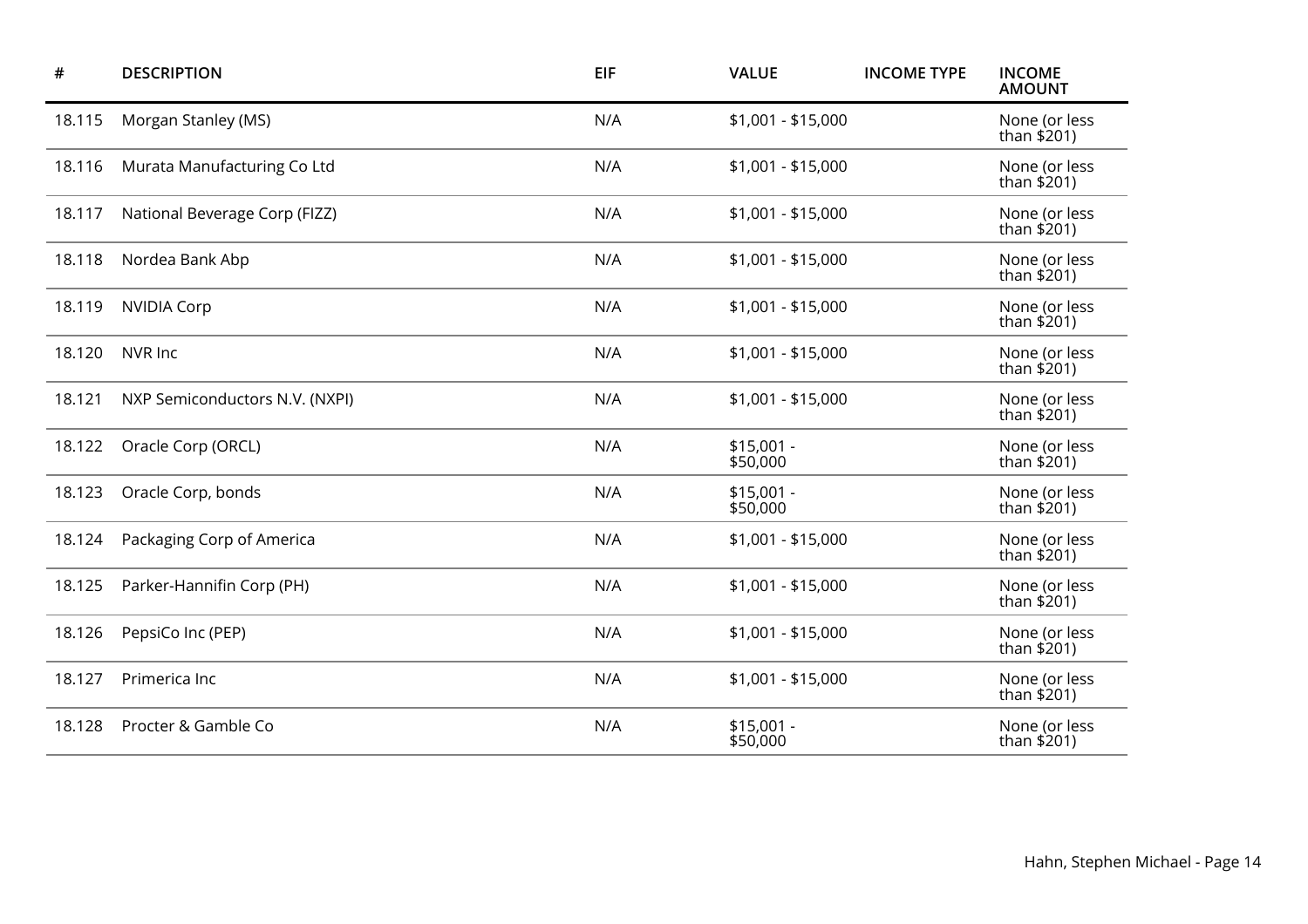| #      | <b>DESCRIPTION</b>             | <b>EIF</b> | <b>VALUE</b>            | <b>INCOME TYPE</b> | <b>INCOME</b><br><b>AMOUNT</b> |
|--------|--------------------------------|------------|-------------------------|--------------------|--------------------------------|
| 18.115 | Morgan Stanley (MS)            | N/A        | \$1,001 - \$15,000      |                    | None (or less<br>than \$201)   |
| 18.116 | Murata Manufacturing Co Ltd    | N/A        | \$1,001 - \$15,000      |                    | None (or less<br>than \$201)   |
| 18.117 | National Beverage Corp (FIZZ)  | N/A        | \$1,001 - \$15,000      |                    | None (or less<br>than $$201)$  |
| 18.118 | Nordea Bank Abp                | N/A        | \$1,001 - \$15,000      |                    | None (or less<br>than \$201)   |
| 18.119 | <b>NVIDIA Corp</b>             | N/A        | \$1,001 - \$15,000      |                    | None (or less<br>than \$201)   |
| 18.120 | NVR Inc                        | N/A        | \$1,001 - \$15,000      |                    | None (or less<br>than $$201)$  |
| 18.121 | NXP Semiconductors N.V. (NXPI) | N/A        | \$1,001 - \$15,000      |                    | None (or less<br>than $$201)$  |
| 18.122 | Oracle Corp (ORCL)             | N/A        | $$15,001 -$<br>\$50,000 |                    | None (or less<br>than \$201)   |
| 18.123 | Oracle Corp, bonds             | N/A        | $$15,001 -$<br>\$50,000 |                    | None (or less<br>than $$201)$  |
| 18.124 | Packaging Corp of America      | N/A        | $$1,001 - $15,000$      |                    | None (or less<br>than \$201)   |
| 18.125 | Parker-Hannifin Corp (PH)      | N/A        | \$1,001 - \$15,000      |                    | None (or less<br>than $$201)$  |
| 18.126 | PepsiCo Inc (PEP)              | N/A        | \$1,001 - \$15,000      |                    | None (or less<br>than \$201)   |
| 18.127 | Primerica Inc                  | N/A        | \$1,001 - \$15,000      |                    | None (or less<br>than \$201)   |
| 18.128 | Procter & Gamble Co            | N/A        | $$15,001 -$<br>\$50,000 |                    | None (or less<br>than \$201)   |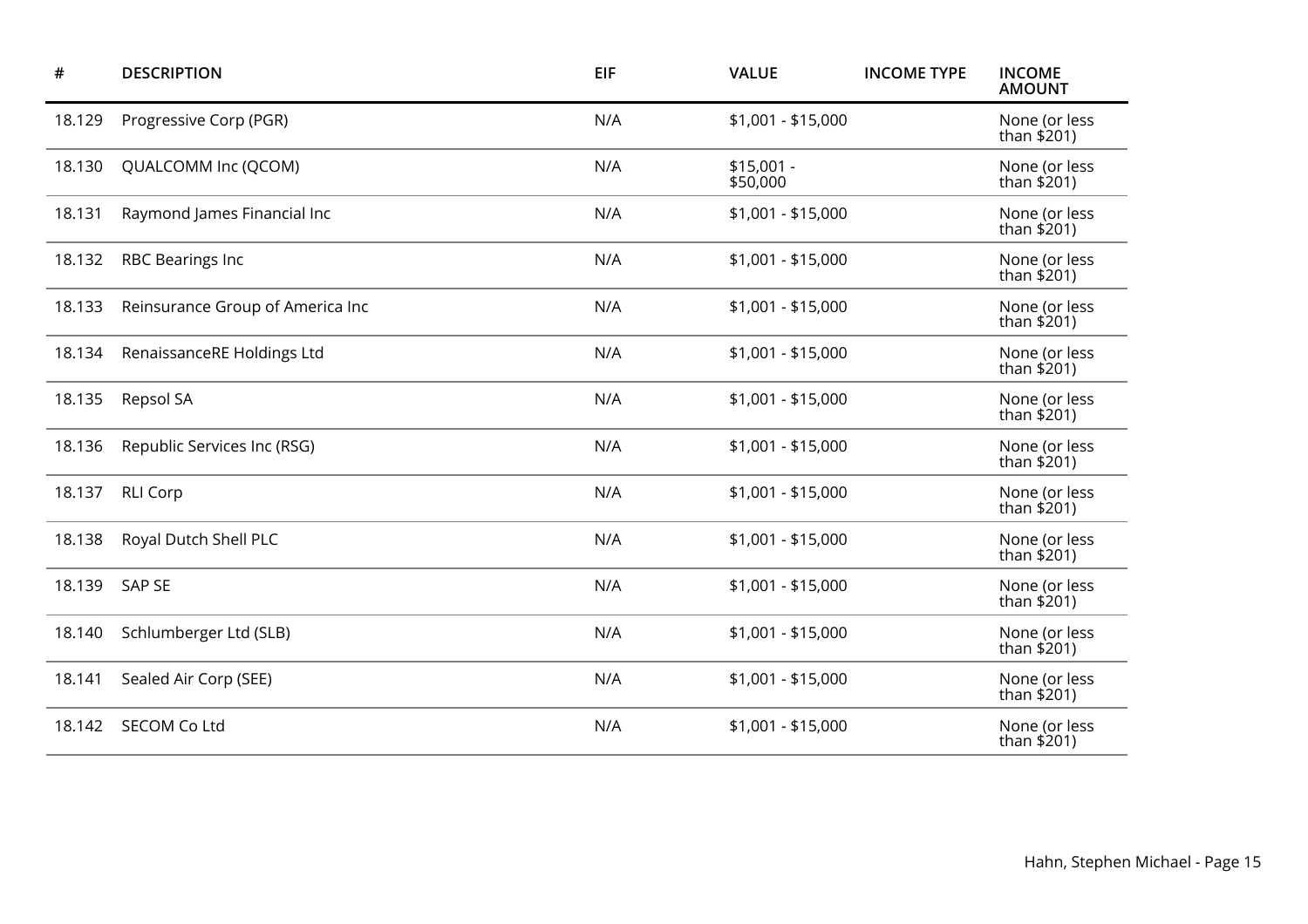| #      | <b>DESCRIPTION</b>               | <b>EIF</b> | <b>VALUE</b>            | <b>INCOME TYPE</b> | <b>INCOME</b><br><b>AMOUNT</b> |
|--------|----------------------------------|------------|-------------------------|--------------------|--------------------------------|
| 18.129 | Progressive Corp (PGR)           | N/A        | \$1,001 - \$15,000      |                    | None (or less<br>than $$201)$  |
| 18.130 | QUALCOMM Inc (QCOM)              | N/A        | $$15,001 -$<br>\$50,000 |                    | None (or less<br>than \$201)   |
| 18.131 | Raymond James Financial Inc      | N/A        | $$1,001 - $15,000$      |                    | None (or less<br>than $$201)$  |
| 18.132 | <b>RBC Bearings Inc</b>          | N/A        | \$1,001 - \$15,000      |                    | None (or less<br>than \$201)   |
| 18.133 | Reinsurance Group of America Inc | N/A        | \$1,001 - \$15,000      |                    | None (or less<br>than \$201)   |
| 18.134 | RenaissanceRE Holdings Ltd       | N/A        | \$1,001 - \$15,000      |                    | None (or less<br>than $$201)$  |
| 18.135 | Repsol SA                        | N/A        | $$1,001 - $15,000$      |                    | None (or less<br>than $$201)$  |
| 18.136 | Republic Services Inc (RSG)      | N/A        | \$1,001 - \$15,000      |                    | None (or less<br>than \$201)   |
| 18.137 | <b>RLI Corp</b>                  | N/A        | $$1,001 - $15,000$      |                    | None (or less<br>than $$201$ ) |
| 18.138 | Royal Dutch Shell PLC            | N/A        | $$1,001 - $15,000$      |                    | None (or less<br>than \$201)   |
| 18.139 | <b>SAP SE</b>                    | N/A        | $$1,001 - $15,000$      |                    | None (or less<br>than $$201)$  |
| 18.140 | Schlumberger Ltd (SLB)           | N/A        | $$1,001 - $15,000$      |                    | None (or less<br>than \$201)   |
| 18.141 | Sealed Air Corp (SEE)            | N/A        | $$1,001 - $15,000$      |                    | None (or less<br>than $$201)$  |
| 18.142 | <b>SECOM Co Ltd</b>              | N/A        | \$1,001 - \$15,000      |                    | None (or less<br>than \$201)   |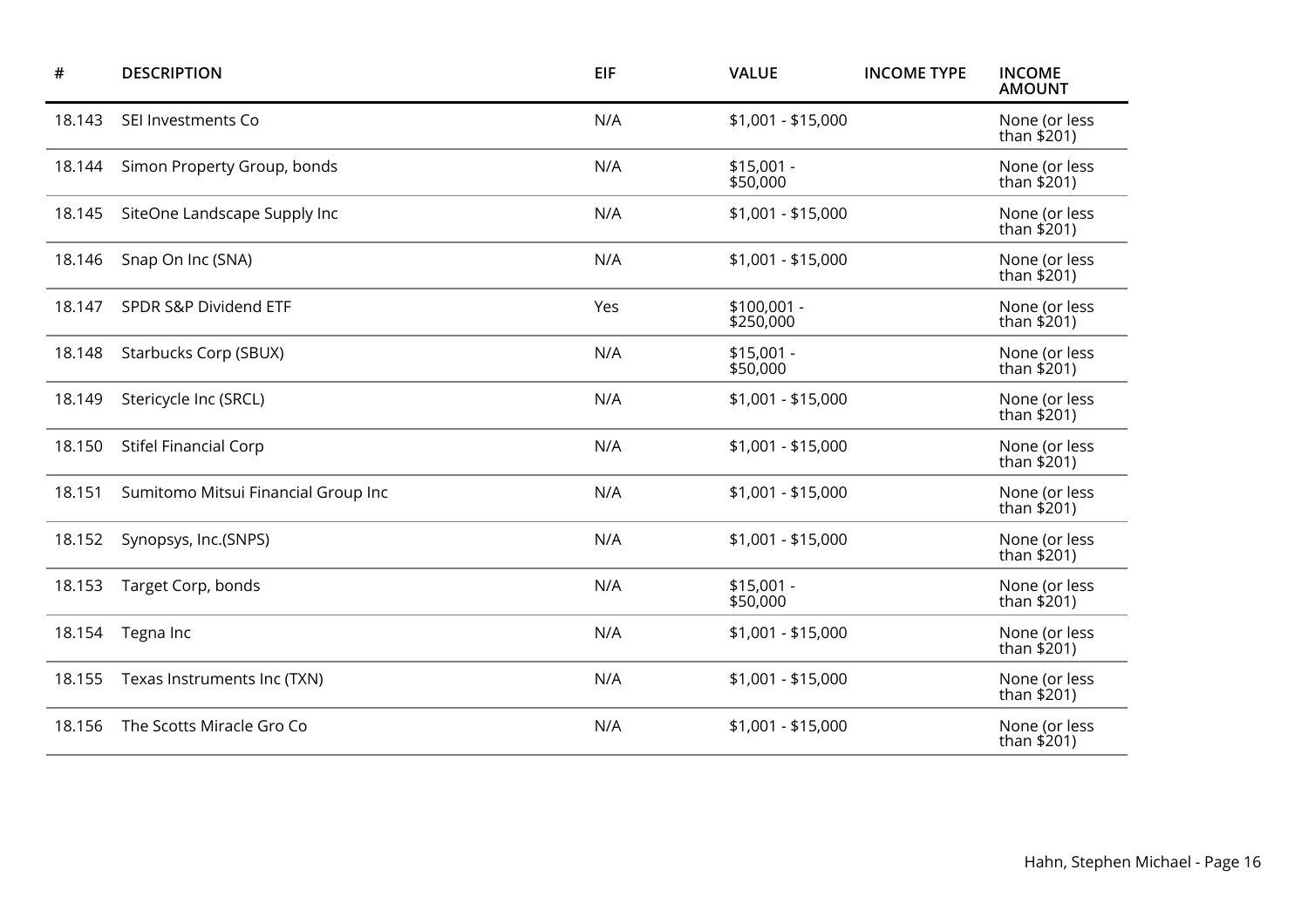| #      | <b>DESCRIPTION</b>                  | EIF | <b>VALUE</b>              | <b>INCOME TYPE</b> | <b>INCOME</b><br><b>AMOUNT</b> |
|--------|-------------------------------------|-----|---------------------------|--------------------|--------------------------------|
| 18.143 | SEI Investments Co                  | N/A | $$1,001 - $15,000$        |                    | None (or less<br>than \$201)   |
| 18.144 | Simon Property Group, bonds         | N/A | $$15,001 -$<br>\$50,000   |                    | None (or less<br>than \$201)   |
| 18.145 | SiteOne Landscape Supply Inc        | N/A | \$1,001 - \$15,000        |                    | None (or less<br>than \$201)   |
| 18.146 | Snap On Inc (SNA)                   | N/A | \$1,001 - \$15,000        |                    | None (or less<br>than \$201)   |
| 18.147 | SPDR S&P Dividend ETF               | Yes | $$100,001 -$<br>\$250,000 |                    | None (or less<br>than $$201)$  |
| 18.148 | Starbucks Corp (SBUX)               | N/A | $$15,001 -$<br>\$50,000   |                    | None (or less<br>than $$201)$  |
| 18.149 | Stericycle Inc (SRCL)               | N/A | \$1,001 - \$15,000        |                    | None (or less<br>than $$201)$  |
| 18.150 | <b>Stifel Financial Corp</b>        | N/A | \$1,001 - \$15,000        |                    | None (or less<br>than \$201)   |
| 18.151 | Sumitomo Mitsui Financial Group Inc | N/A | \$1,001 - \$15,000        |                    | None (or less<br>than \$201)   |
| 18.152 | Synopsys, Inc.(SNPS)                | N/A | \$1,001 - \$15,000        |                    | None (or less<br>than \$201)   |
| 18.153 | Target Corp, bonds                  | N/A | $$15,001 -$<br>\$50,000   |                    | None (or less<br>than $$201)$  |
| 18.154 | Tegna Inc                           | N/A | \$1,001 - \$15,000        |                    | None (or less<br>than \$201)   |
| 18.155 | Texas Instruments Inc (TXN)         | N/A | \$1,001 - \$15,000        |                    | None (or less<br>than \$201)   |
| 18.156 | The Scotts Miracle Gro Co           | N/A | $$1,001 - $15,000$        |                    | None (or less<br>than \$201)   |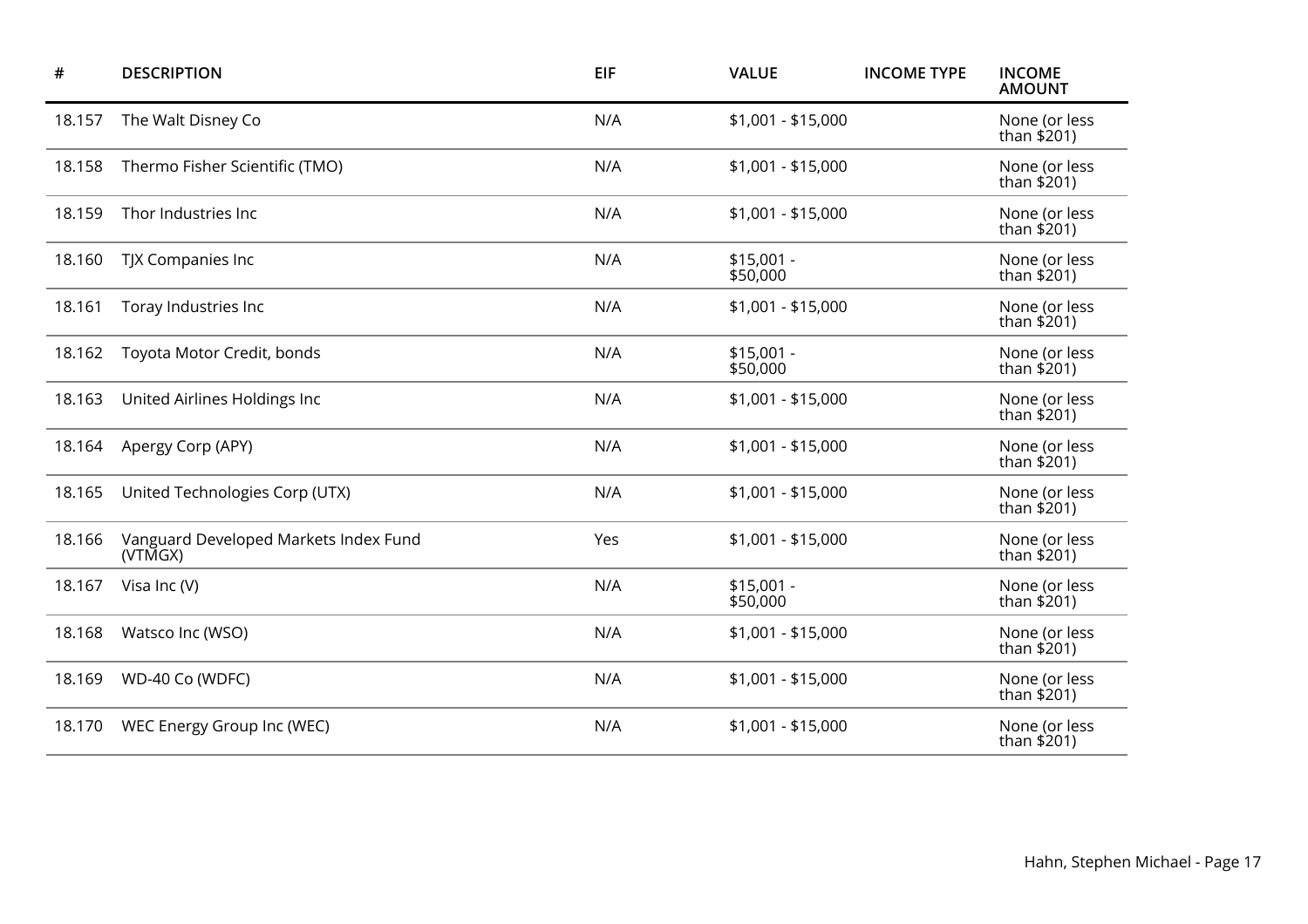| #      | <b>DESCRIPTION</b>                               | <b>EIF</b> | <b>VALUE</b>            | <b>INCOME TYPE</b> | <b>INCOME</b><br><b>AMOUNT</b> |
|--------|--------------------------------------------------|------------|-------------------------|--------------------|--------------------------------|
| 18.157 | The Walt Disney Co                               | N/A        | $$1,001 - $15,000$      |                    | None (or less<br>than \$201)   |
| 18.158 | Thermo Fisher Scientific (TMO)                   | N/A        | $$1,001 - $15,000$      |                    | None (or less<br>than $$201)$  |
| 18.159 | Thor Industries Inc                              | N/A        | \$1,001 - \$15,000      |                    | None (or less<br>than \$201)   |
| 18.160 | TJX Companies Inc                                | N/A        | $$15,001 -$<br>\$50,000 |                    | None (or less<br>than $$201)$  |
| 18.161 | Toray Industries Inc                             | N/A        | \$1,001 - \$15,000      |                    | None (or less<br>than \$201)   |
| 18.162 | Toyota Motor Credit, bonds                       | N/A        | $$15,001 -$<br>\$50,000 |                    | None (or less<br>than $$201)$  |
| 18.163 | United Airlines Holdings Inc                     | N/A        | \$1,001 - \$15,000      |                    | None (or less<br>than $$201)$  |
| 18.164 | Apergy Corp (APY)                                | N/A        | $$1,001 - $15,000$      |                    | None (or less<br>than \$201)   |
| 18.165 | United Technologies Corp (UTX)                   | N/A        | \$1,001 - \$15,000      |                    | None (or less<br>than \$201)   |
| 18.166 | Vanguard Developed Markets Index Fund<br>(VTMGX) | Yes        | $$1,001 - $15,000$      |                    | None (or less<br>than \$201)   |
| 18.167 | Visa Inc (V)                                     | N/A        | $$15,001 -$<br>\$50,000 |                    | None (or less<br>than $$201$ ) |
| 18.168 | Watsco Inc (WSO)                                 | N/A        | \$1,001 - \$15,000      |                    | None (or less<br>than \$201)   |
| 18.169 | WD-40 Co (WDFC)                                  | N/A        | \$1,001 - \$15,000      |                    | None (or less<br>than $$201$ ) |
| 18.170 | WEC Energy Group Inc (WEC)                       | N/A        | $$1,001 - $15,000$      |                    | None (or less<br>than \$201)   |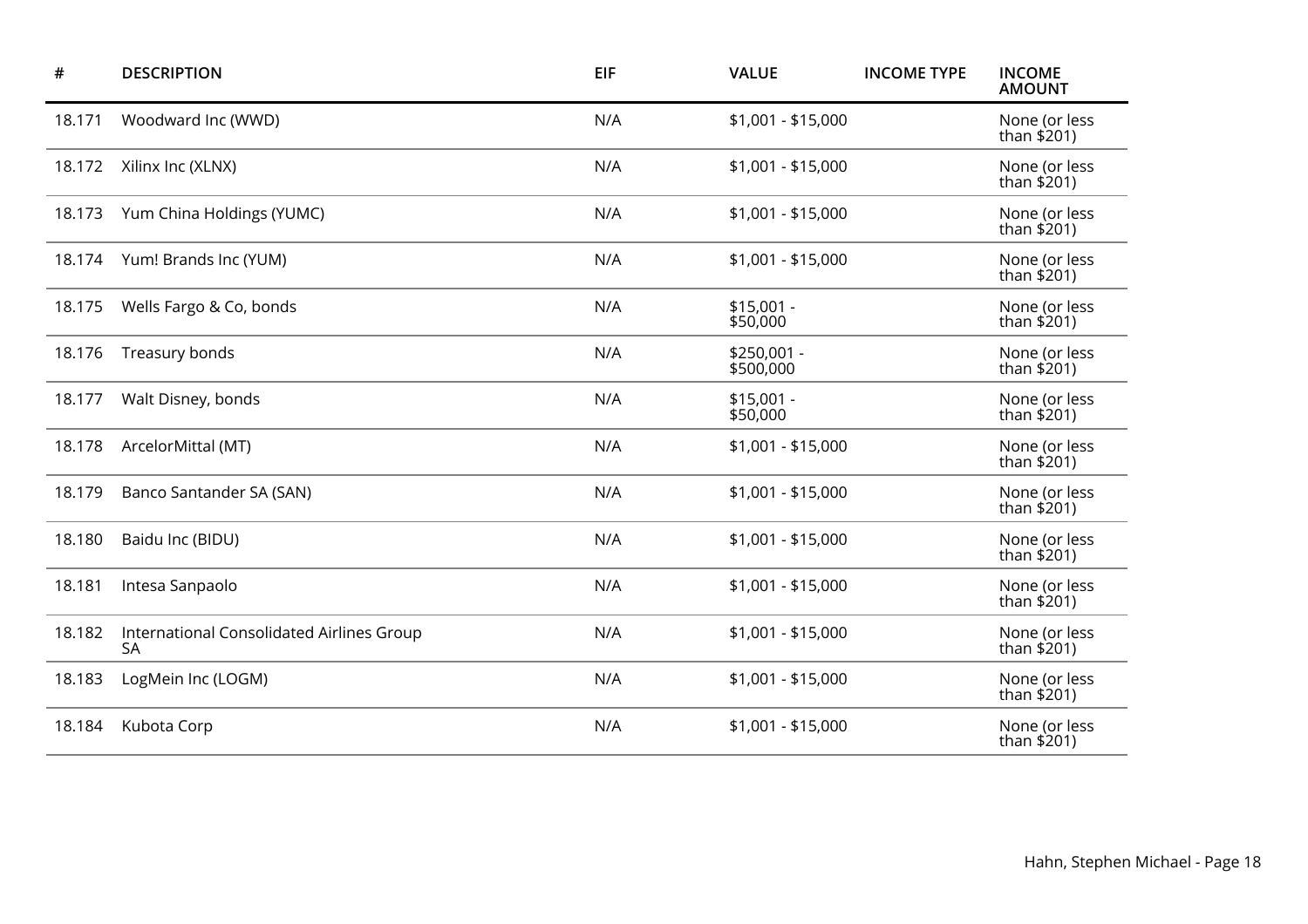| #      | <b>DESCRIPTION</b>                                     | EIF | <b>VALUE</b>             | <b>INCOME TYPE</b> | <b>INCOME</b><br><b>AMOUNT</b> |
|--------|--------------------------------------------------------|-----|--------------------------|--------------------|--------------------------------|
| 18.171 | Woodward Inc (WWD)                                     | N/A | \$1,001 - \$15,000       |                    | None (or less<br>than \$201)   |
| 18.172 | Xilinx Inc (XLNX)                                      | N/A | \$1,001 - \$15,000       |                    | None (or less<br>than \$201)   |
| 18.173 | Yum China Holdings (YUMC)                              | N/A | \$1,001 - \$15,000       |                    | None (or less<br>than $$201)$  |
| 18.174 | Yum! Brands Inc (YUM)                                  | N/A | \$1,001 - \$15,000       |                    | None (or less<br>than \$201)   |
| 18.175 | Wells Fargo & Co, bonds                                | N/A | $$15,001 -$<br>\$50,000  |                    | None (or less<br>than $$201)$  |
| 18.176 | Treasury bonds                                         | N/A | \$250,001 -<br>\$500,000 |                    | None (or less<br>than $$201)$  |
| 18.177 | Walt Disney, bonds                                     | N/A | $$15,001 -$<br>\$50,000  |                    | None (or less<br>than \$201)   |
| 18.178 | ArcelorMittal (MT)                                     | N/A | \$1,001 - \$15,000       |                    | None (or less<br>than \$201)   |
| 18.179 | Banco Santander SA (SAN)                               | N/A | \$1,001 - \$15,000       |                    | None (or less<br>than $$201$ ) |
| 18.180 | Baidu Inc (BIDU)                                       | N/A | \$1,001 - \$15,000       |                    | None (or less<br>than \$201)   |
| 18.181 | Intesa Sanpaolo                                        | N/A | \$1,001 - \$15,000       |                    | None (or less<br>than \$201)   |
| 18.182 | International Consolidated Airlines Group<br><b>SA</b> | N/A | \$1,001 - \$15,000       |                    | None (or less<br>than $$201)$  |
| 18.183 | LogMein Inc (LOGM)                                     | N/A | \$1,001 - \$15,000       |                    | None (or less<br>than \$201)   |
| 18.184 | Kubota Corp                                            | N/A | \$1,001 - \$15,000       |                    | None (or less<br>than \$201)   |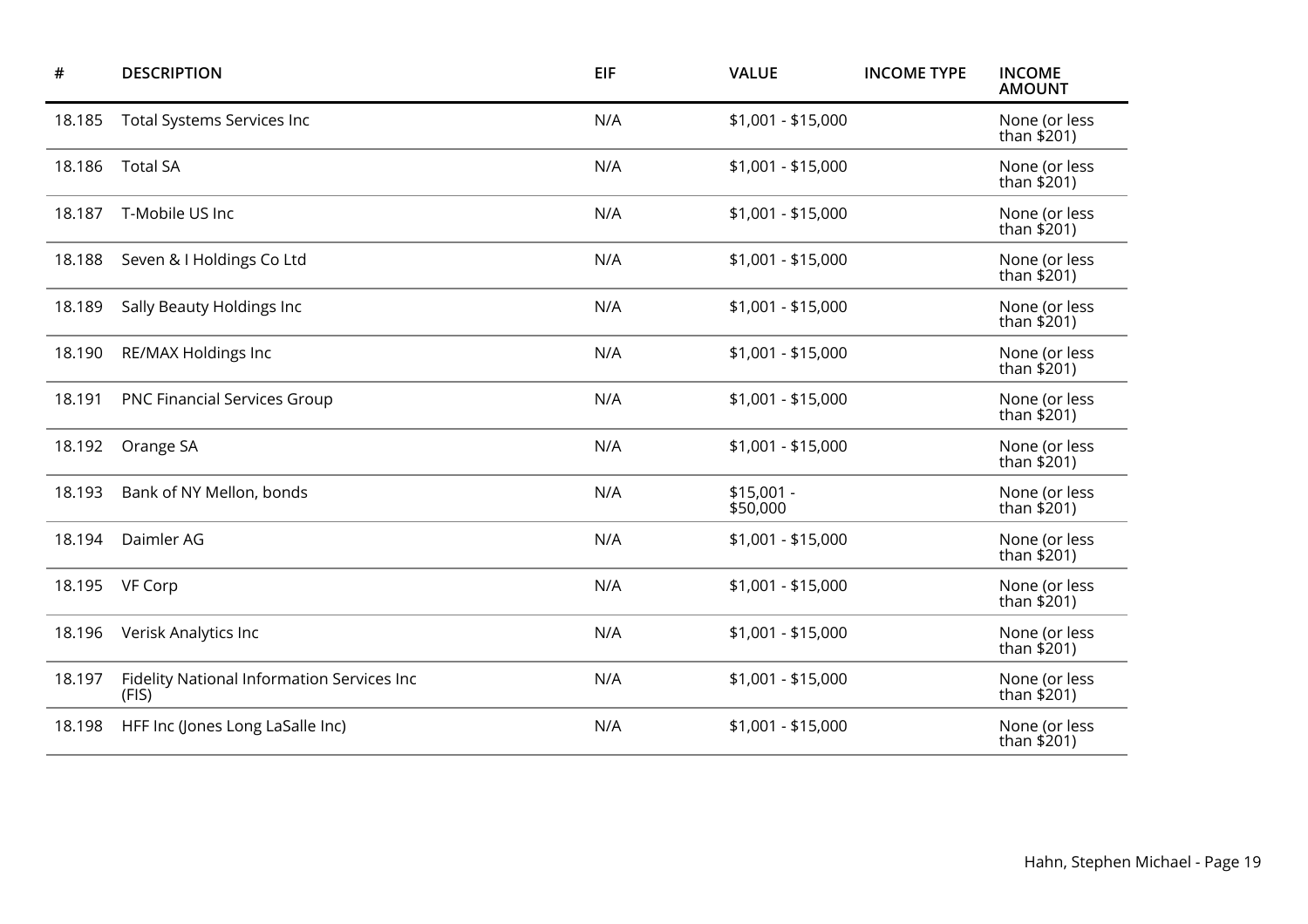| #      | <b>DESCRIPTION</b>                                  | <b>EIF</b> | <b>VALUE</b>            | <b>INCOME TYPE</b> | <b>INCOME</b><br><b>AMOUNT</b> |
|--------|-----------------------------------------------------|------------|-------------------------|--------------------|--------------------------------|
| 18.185 | Total Systems Services Inc                          | N/A        | $$1,001 - $15,000$      |                    | None (or less<br>than \$201)   |
| 18.186 | <b>Total SA</b>                                     | N/A        | \$1,001 - \$15,000      |                    | None (or less<br>than \$201)   |
| 18.187 | T-Mobile US Inc                                     | N/A        | \$1,001 - \$15,000      |                    | None (or less<br>than $$201)$  |
| 18.188 | Seven & I Holdings Co Ltd                           | N/A        | \$1,001 - \$15,000      |                    | None (or less<br>than \$201)   |
| 18.189 | Sally Beauty Holdings Inc                           | N/A        | \$1,001 - \$15,000      |                    | None (or less<br>than $$201)$  |
| 18.190 | RE/MAX Holdings Inc                                 | N/A        | \$1,001 - \$15,000      |                    | None (or less<br>than \$201)   |
| 18.191 | <b>PNC Financial Services Group</b>                 | N/A        | \$1,001 - \$15,000      |                    | None (or less<br>than \$201)   |
| 18.192 | Orange SA                                           | N/A        | $$1,001 - $15,000$      |                    | None (or less<br>than $$201)$  |
| 18.193 | Bank of NY Mellon, bonds                            | N/A        | $$15,001 -$<br>\$50,000 |                    | None (or less<br>than \$201)   |
| 18.194 | Daimler AG                                          | N/A        | $$1,001 - $15,000$      |                    | None (or less<br>than $$201)$  |
| 18.195 | VF Corp                                             | N/A        | $$1,001 - $15,000$      |                    | None (or less<br>than \$201)   |
| 18.196 | Verisk Analytics Inc                                | N/A        | $$1,001 - $15,000$      |                    | None (or less<br>than \$201)   |
| 18.197 | Fidelity National Information Services Inc<br>(FIS) | N/A        | $$1,001 - $15,000$      |                    | None (or less<br>than $$201$ ) |
| 18.198 | HFF Inc (Jones Long LaSalle Inc)                    | N/A        | $$1,001 - $15,000$      |                    | None (or less<br>than \$201)   |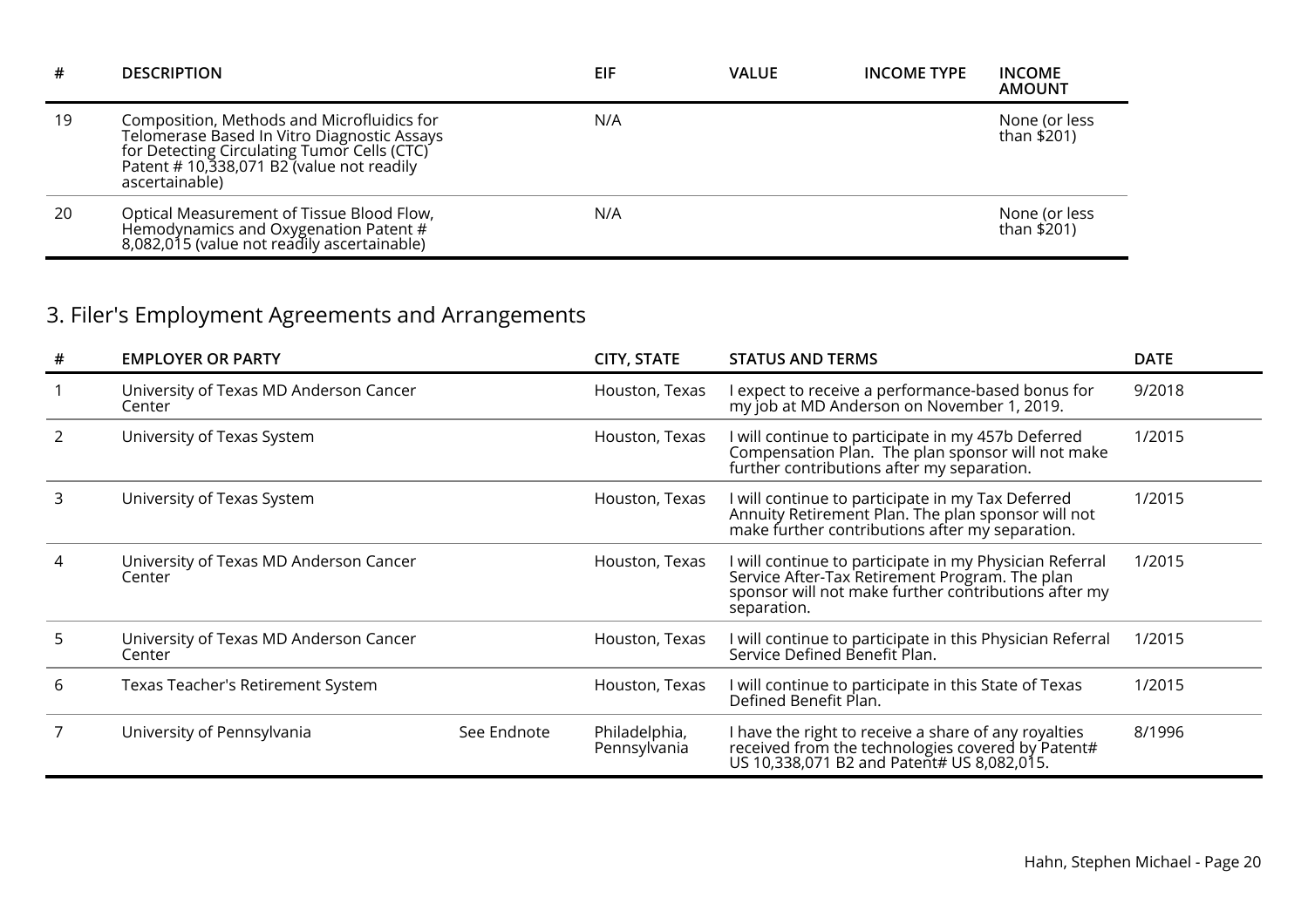| #  | <b>DESCRIPTION</b>                                                                                                                                                                                     | EIF | <b>VALUE</b> | <b>INCOME TYPE</b> | <b>INCOME</b><br><b>AMOUNT</b> |
|----|--------------------------------------------------------------------------------------------------------------------------------------------------------------------------------------------------------|-----|--------------|--------------------|--------------------------------|
| 19 | Composition, Methods and Microfluidics for<br>Telomerase Based In Vitro Diagnostic Assays<br>for Detecting Circulating Tumor Cells (CTC)<br>Patent #10,338,071 B2 (value not readily<br>ascertainable) | N/A |              |                    | None (or less<br>than \$201)   |
| 20 | Optical Measurement of Tissue Blood Flow,<br>Hemodynamics and Oxygenation Patent #<br>8,082,015 (value not readily ascertainable)                                                                      | N/A |              |                    | None (or less<br>than \$201)   |

# 3. Filer's Employment Agreements and Arrangements

| # | <b>EMPLOYER OR PARTY</b>                         |             | <b>CITY, STATE</b>            | <b>STATUS AND TERMS</b>                                                                                                                                                          | <b>DATE</b> |
|---|--------------------------------------------------|-------------|-------------------------------|----------------------------------------------------------------------------------------------------------------------------------------------------------------------------------|-------------|
|   | University of Texas MD Anderson Cancer<br>Center |             | Houston, Texas                | I expect to receive a performance-based bonus for<br>my job at MD Anderson on November 1, 2019.                                                                                  | 9/2018      |
|   | University of Texas System                       |             | Houston, Texas                | I will continue to participate in my 457b Deferred<br>Compensation Plan. The plan sponsor will not make<br>further contributions after my separation.                            | 1/2015      |
| 3 | University of Texas System                       |             | Houston, Texas                | I will continue to participate in my Tax Deferred<br>Annuity Retirement Plan. The plan sponsor will not<br>make further contributions after my separation.                       | 1/2015      |
|   | University of Texas MD Anderson Cancer<br>Center |             | Houston, Texas                | I will continue to participate in my Physician Referral<br>Service After-Tax Retirement Program. The plan<br>sponsor will not make further contributions after my<br>separation. | 1/2015      |
| 5 | University of Texas MD Anderson Cancer<br>Center |             | Houston, Texas                | I will continue to participate in this Physician Referral<br>Service Defined Benefit Plan.                                                                                       | 1/2015      |
| 6 | Texas Teacher's Retirement System                |             | Houston, Texas                | will continue to participate in this State of Texas<br>Defined Benefit Plan.                                                                                                     | 1/2015      |
|   | University of Pennsylvania                       | See Endnote | Philadelphia,<br>Pennsylvania | I have the right to receive a share of any royalties<br>received from the technologies covered by Patent#<br>US 10,338,071 B2 and Patent# US 8,082,015.                          | 8/1996      |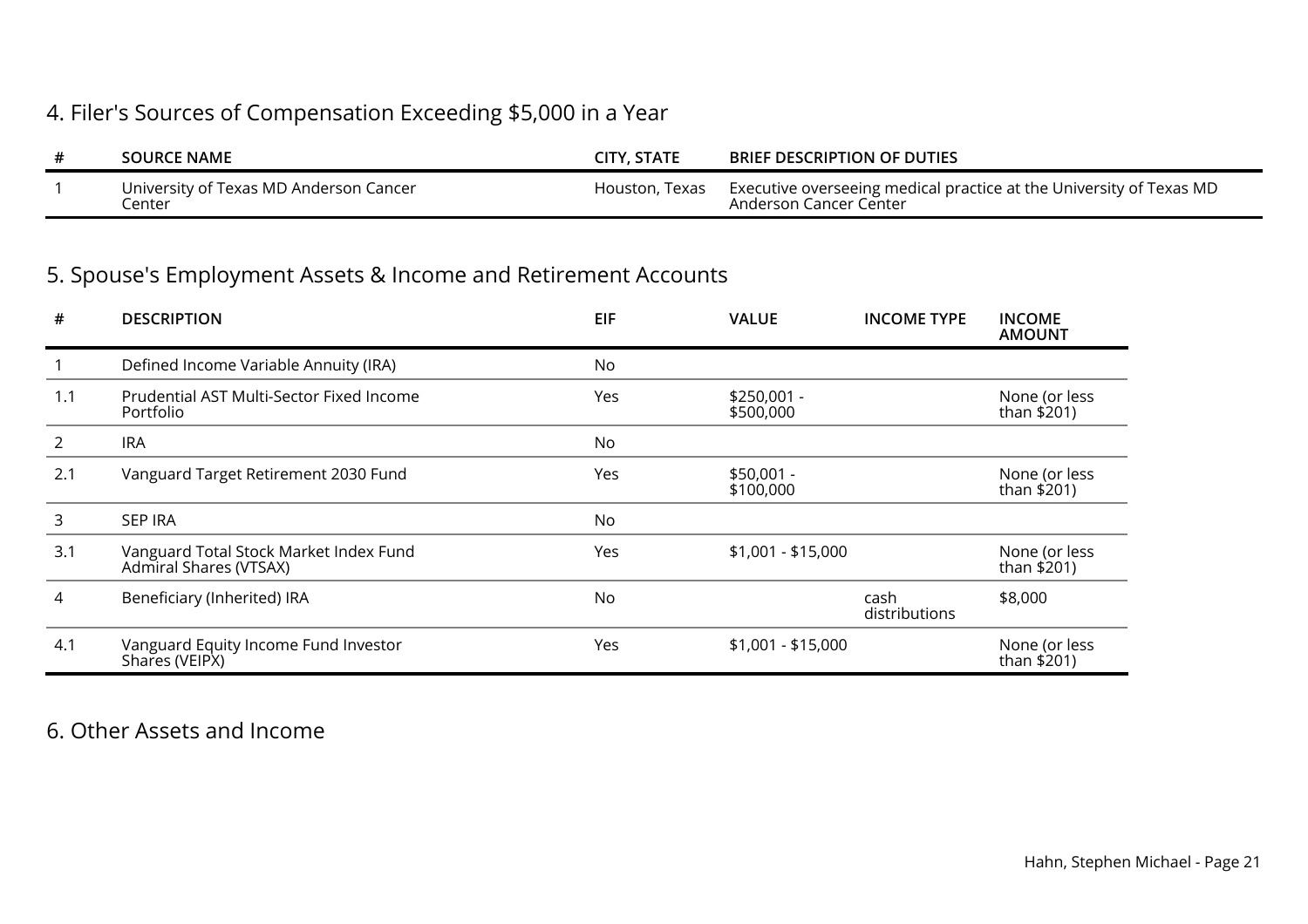## 4. Filer's Sources of Compensation Exceeding \$5,000 in a Year

| <b>SOURCE NAME</b>                                   | CITY, STATE    | <b>BRIEF DESCRIPTION OF DUTIES</b>                                                            |
|------------------------------------------------------|----------------|-----------------------------------------------------------------------------------------------|
| University of Texas MD Anderson Cancer<br>.<br>enter | Houston, Texas | Executive overseeing medical practice at the University of Texas MD<br>Anderson Cancer Center |

## 5. Spouse's Employment Assets & Income and Retirement Accounts

| #   | <b>DESCRIPTION</b>                                               | <b>EIF</b> | <b>VALUE</b>              | <b>INCOME TYPE</b>    | <b>INCOME</b><br><b>AMOUNT</b> |
|-----|------------------------------------------------------------------|------------|---------------------------|-----------------------|--------------------------------|
|     | Defined Income Variable Annuity (IRA)                            | No         |                           |                       |                                |
| 1.1 | Prudential AST Multi-Sector Fixed Income<br>Portfolio            | Yes        | $$250,001 -$<br>\$500,000 |                       | None (or less<br>than $$201)$  |
| 2   | <b>IRA</b>                                                       | No         |                           |                       |                                |
| 2.1 | Vanguard Target Retirement 2030 Fund                             | Yes        | $$50,001 -$<br>\$100,000  |                       | None (or less<br>than \$201)   |
| 3   | <b>SEP IRA</b>                                                   | No         |                           |                       |                                |
| 3.1 | Vanguard Total Stock Market Index Fund<br>Admiral Shares (VTSAX) | Yes        | $$1,001 - $15,000$        |                       | None (or less<br>than \$201)   |
| 4   | Beneficiary (Inherited) IRA                                      | No         |                           | cash<br>distributions | \$8,000                        |
| 4.1 | Vanguard Equity Income Fund Investor<br>Shares (VEIPX)           | Yes        | $$1,001 - $15,000$        |                       | None (or less<br>than \$201)   |

## 6. Other Assets and Income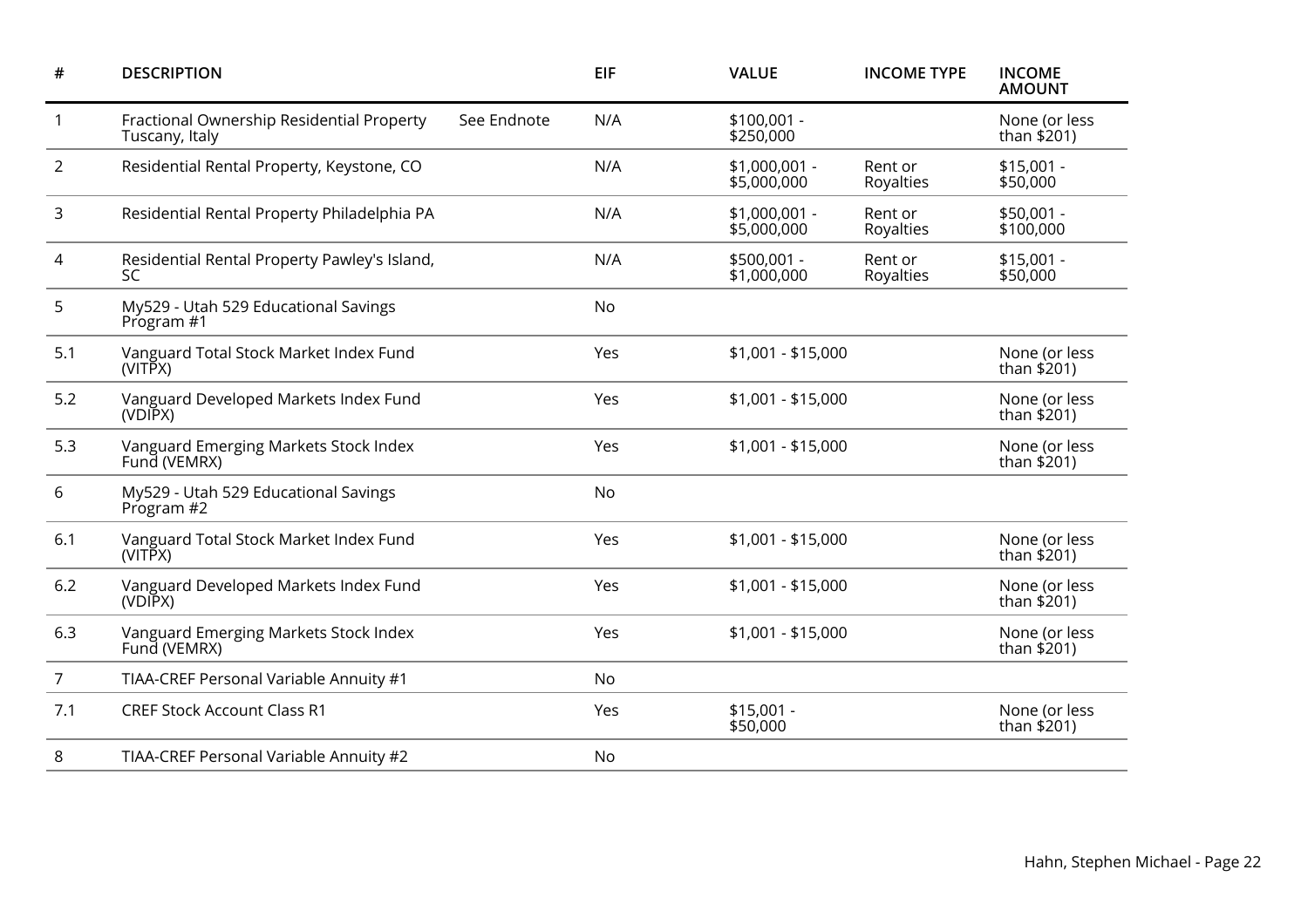| <b>DESCRIPTION</b>                                          | <b>EIF</b> | <b>VALUE</b>                 | <b>INCOME TYPE</b>   | <b>INCOME</b><br><b>AMOUNT</b> |
|-------------------------------------------------------------|------------|------------------------------|----------------------|--------------------------------|
| Fractional Ownership Residential Property<br>Tuscany, Italy | N/A        | $$100,001 -$<br>\$250,000    |                      | None (or less<br>than $$201)$  |
| Residential Rental Property, Keystone, CO                   | N/A        | \$1,000,001 -<br>\$5,000,000 | Rent or<br>Royalties | $$15,001 -$<br>\$50,000        |
| Residential Rental Property Philadelphia PA                 | N/A        | \$1,000,001 -<br>\$5,000,000 | Rent or<br>Royalties | \$50,001 -<br>\$100,000        |
| Residential Rental Property Pawley's Island,<br><b>SC</b>   | N/A        | \$500,001 -<br>\$1,000,000   | Rent or<br>Royalties | $$15,001 -$<br>\$50,000        |
| My529 - Utah 529 Educational Savings<br>Program #1          | No         |                              |                      |                                |
| Vanguard Total Stock Market Index Fund<br>(VITPX)           | Yes        | \$1,001 - \$15,000           |                      | None (or less<br>than $$201$ ) |
| Vanguard Developed Markets Index Fund<br>(VDIPX)            | Yes        | \$1,001 - \$15,000           |                      | None (or less<br>than \$201)   |
| Vanguard Emerging Markets Stock Index<br>Fund (VEMRX)       | Yes        | \$1,001 - \$15,000           |                      | None (or less<br>than $$201)$  |
| My529 - Utah 529 Educational Savings<br>Program #2          | <b>No</b>  |                              |                      |                                |
| Vanguard Total Stock Market Index Fund<br>(VITPX)           | Yes        | \$1,001 - \$15,000           |                      | None (or less<br>than $$201$ ) |
| Vanguard Developed Markets Index Fund<br>(VDIPX)            | Yes        | $$1,001 - $15,000$           |                      | None (or less<br>than $$201)$  |
| Vanguard Emerging Markets Stock Index<br>Fund (VEMRX)       | Yes        | \$1,001 - \$15,000           |                      | None (or less<br>than \$201)   |
| TIAA-CREF Personal Variable Annuity #1                      | No         |                              |                      |                                |
| <b>CREF Stock Account Class R1</b>                          | Yes        | $$15,001 -$<br>\$50,000      |                      | None (or less<br>than $$201)$  |
| TIAA-CREF Personal Variable Annuity #2                      | No         |                              |                      |                                |
|                                                             |            | See Endnote                  |                      |                                |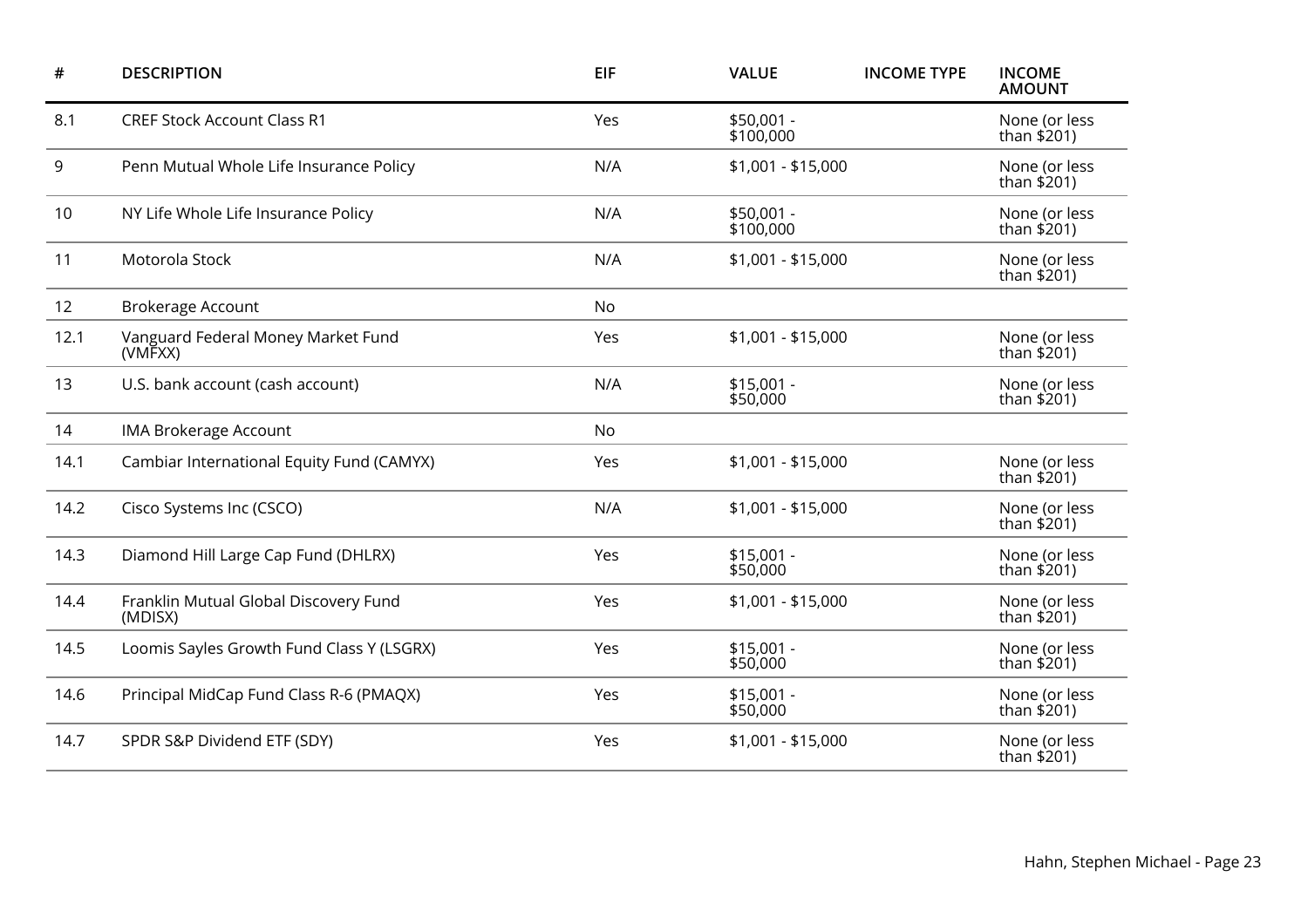| #    | <b>DESCRIPTION</b>                               | <b>EIF</b> | <b>VALUE</b>            | <b>INCOME TYPE</b> | <b>INCOME</b><br><b>AMOUNT</b> |
|------|--------------------------------------------------|------------|-------------------------|--------------------|--------------------------------|
| 8.1  | <b>CREF Stock Account Class R1</b>               | Yes        | \$50,001 -<br>\$100,000 |                    | None (or less<br>than $$201)$  |
| 9    | Penn Mutual Whole Life Insurance Policy          | N/A        | $$1,001 - $15,000$      |                    | None (or less<br>than $$201)$  |
| 10   | NY Life Whole Life Insurance Policy              | N/A        | \$50,001 -<br>\$100,000 |                    | None (or less<br>than $$201$ ) |
| 11   | Motorola Stock                                   | N/A        | $$1,001 - $15,000$      |                    | None (or less<br>than $$201)$  |
| 12   | <b>Brokerage Account</b>                         | No         |                         |                    |                                |
| 12.1 | Vanguard Federal Money Market Fund<br>(VMFXX)    | Yes        | $$1,001 - $15,000$      |                    | None (or less<br>than \$201)   |
| 13   | U.S. bank account (cash account)                 | N/A        | $$15,001 -$<br>\$50,000 |                    | None (or less<br>than $$201$ ) |
| 14   | <b>IMA Brokerage Account</b>                     | No         |                         |                    |                                |
| 14.1 | Cambiar International Equity Fund (CAMYX)        | Yes        | $$1,001 - $15,000$      |                    | None (or less<br>than $$201)$  |
| 14.2 | Cisco Systems Inc (CSCO)                         | N/A        | $$1,001 - $15,000$      |                    | None (or less<br>than \$201)   |
| 14.3 | Diamond Hill Large Cap Fund (DHLRX)              | Yes        | $$15,001 -$<br>\$50,000 |                    | None (or less<br>than $$201$ ) |
| 14.4 | Franklin Mutual Global Discovery Fund<br>(MDISX) | Yes        | $$1,001 - $15,000$      |                    | None (or less<br>than $$201)$  |
| 14.5 | Loomis Sayles Growth Fund Class Y (LSGRX)        | Yes        | $$15,001 -$<br>\$50,000 |                    | None (or less<br>than $$201)$  |
| 14.6 | Principal MidCap Fund Class R-6 (PMAQX)          | Yes        | $$15,001 -$<br>\$50,000 |                    | None (or less<br>than $$201)$  |
| 14.7 | SPDR S&P Dividend ETF (SDY)                      | Yes        | $$1,001 - $15,000$      |                    | None (or less<br>than \$201)   |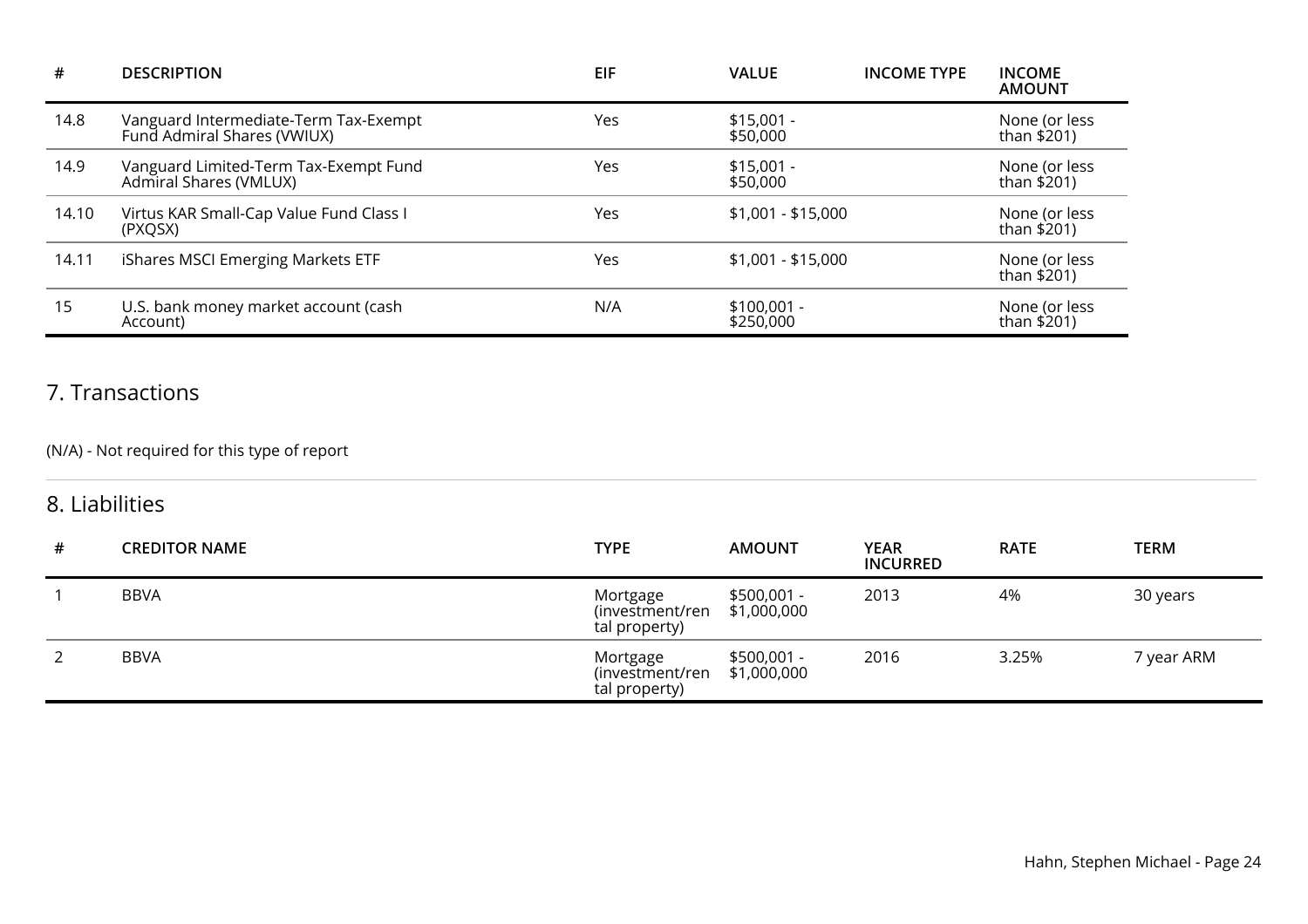| #     | <b>DESCRIPTION</b>                                                   | <b>EIF</b> | <b>VALUE</b>              | <b>INCOME TYPE</b> | <b>INCOME</b><br><b>AMOUNT</b> |
|-------|----------------------------------------------------------------------|------------|---------------------------|--------------------|--------------------------------|
| 14.8  | Vanguard Intermediate-Term Tax-Exempt<br>Fund Admiral Shares (VWIUX) | Yes        | $$15,001 -$<br>\$50,000   |                    | None (or less<br>than \$201)   |
| 14.9  | Vanguard Limited-Term Tax-Exempt Fund<br>Admiral Shares (VMLUX)      | Yes        | $$15,001 -$<br>\$50,000   |                    | None (or less<br>than \$201)   |
| 14.10 | Virtus KAR Small-Cap Value Fund Class I<br>(PXQSX)                   | Yes        | $$1,001 - $15,000$        |                    | None (or less<br>than \$201)   |
| 14.11 | iShares MSCI Emerging Markets ETF                                    | Yes        | $$1,001 - $15,000$        |                    | None (or less<br>than \$201)   |
| 15    | U.S. bank money market account (cash<br>Account)                     | N/A        | $$100,001 -$<br>\$250,000 |                    | None (or less<br>than \$201)   |

## 7. Transactions

### (N/A) - Not required for this type of report

### 8. Liabilities

| # | <b>CREDITOR NAME</b> | <b>TYPE</b>                                  | <b>AMOUNT</b>               | <b>YEAR</b><br><b>INCURRED</b> | <b>RATE</b> | <b>TERM</b> |
|---|----------------------|----------------------------------------------|-----------------------------|--------------------------------|-------------|-------------|
|   | <b>BBVA</b>          | Mortgage<br>(investment/ren<br>tal property) | $$500,001 -$<br>\$1,000,000 | 2013                           | 4%          | 30 years    |
| 2 | <b>BBVA</b>          | Mortgage<br>(investment/ren<br>tal property) | $$500,001 -$<br>\$1,000,000 | 2016                           | 3.25%       | 7 year ARM  |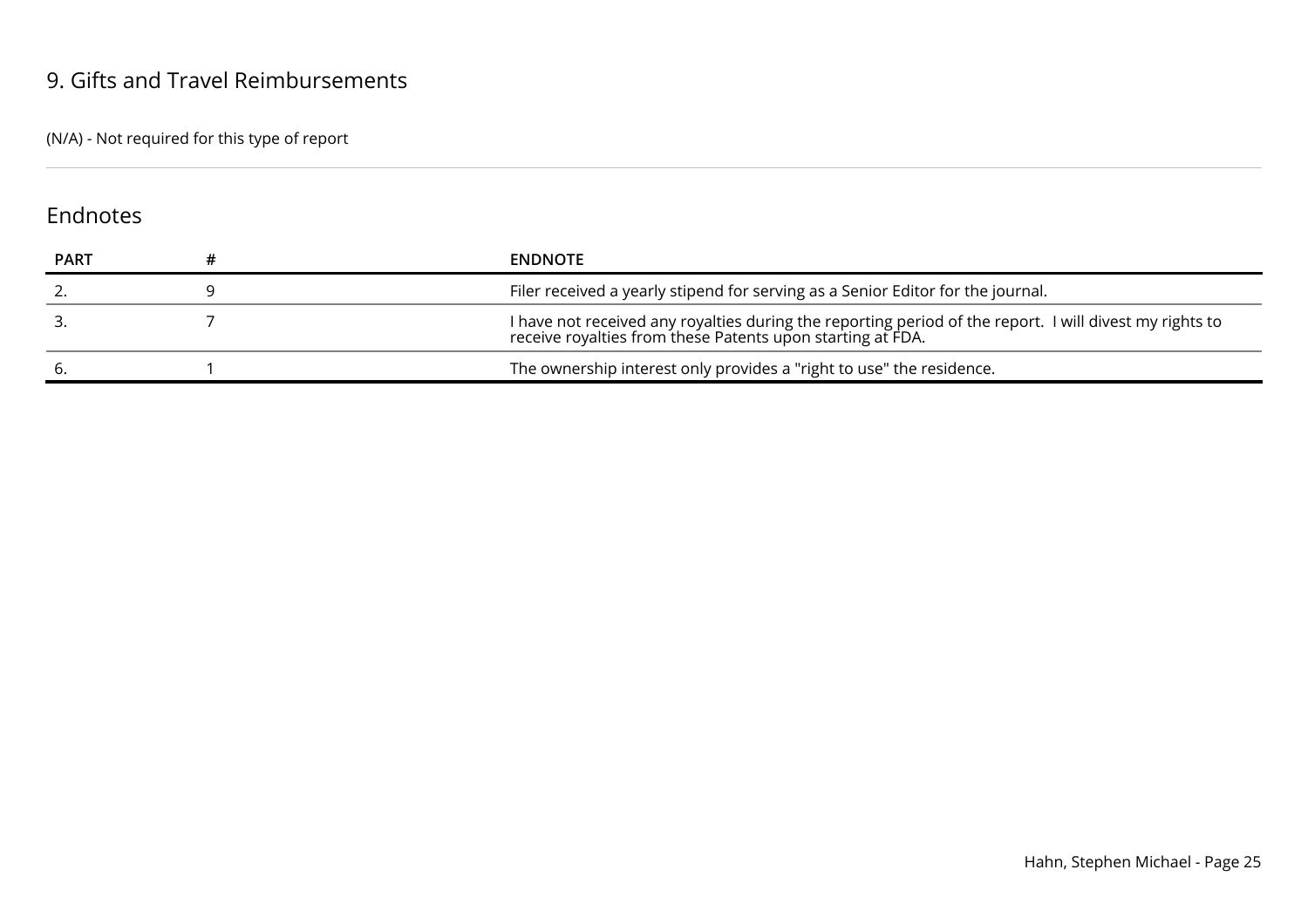### 9. Gifts and Travel Reimbursements

(N/A) - Not required for this type of report

### Endnotes

| <b>PART</b> | <b>ENDNOTE</b>                                                                                                                                                        |
|-------------|-----------------------------------------------------------------------------------------------------------------------------------------------------------------------|
|             | Filer received a yearly stipend for serving as a Senior Editor for the journal.                                                                                       |
|             | I have not received any royalties during the reporting period of the report. I will divest my rights to<br>receive royalties from these Patents upon starting at FDA. |
|             | The ownership interest only provides a "right to use" the residence.                                                                                                  |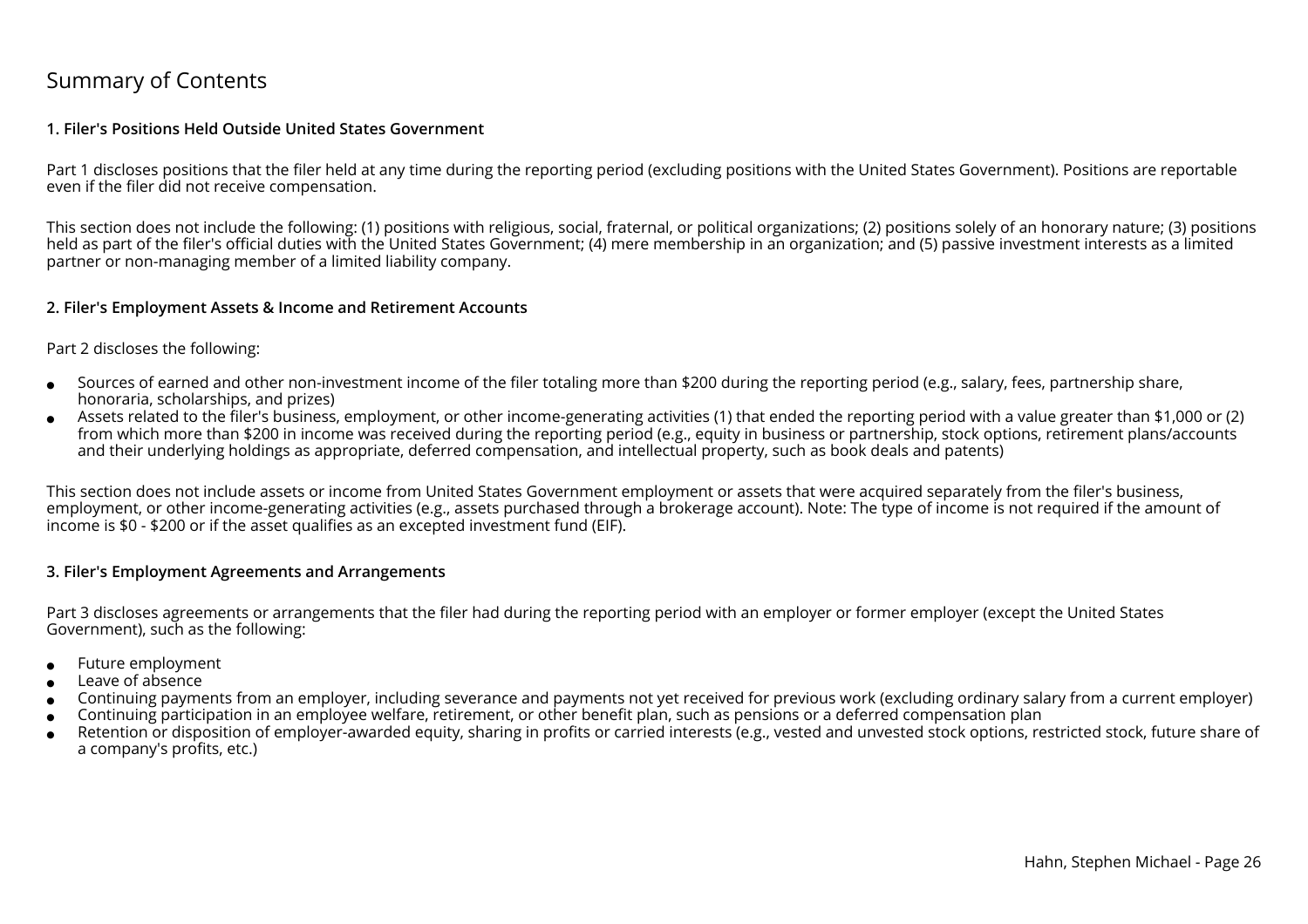### Summary of Contents

#### **1. Filer's Positions Held Outside United States Government**

Part 1 discloses positions that the filer held at any time during the reporting period (excluding positions with the United States Government). Positions are reportableeven if the filer did not receive compensation.

This section does not include the following: (1) positions with religious, social, fraternal, or political organizations; (2) positions solely of an honorary nature; (3) positionsheld as part of the filer's official duties with the United States Government; (4) mere membership in an organization; and (5) passive investment interests as a limitedpartner or non-managing member of a limited liability company.

#### **2. Filer's Employment Assets & Income and Retirement Accounts**

#### Part 2 discloses the following:

- ●Sources of earned and other non-investment income of the filer totaling more than \$200 during the reporting period (e.g., salary, fees, partnership share,honoraria, scholarships, and prizes)
- ● Assets related to the filer's business, employment, or other income-generating activities (1) that ended the reporting period with a value greater than \$1,000 or (2) from which more than \$200 in income was received during the reporting period (e.g., equity in business or partnership, stock options, retirement plans/accountsand their underlying holdings as appropriate, deferred compensation, and intellectual property, such as book deals and patents)

This section does not include assets or income from United States Government employment or assets that were acquired separately from the filer's business, employment, or other income-generating activities (e.g., assets purchased through a brokerage account). Note: The type of income is not required if the amount ofincome is \$0 - \$200 or if the asset qualifies as an excepted investment fund (EIF).

#### **3. Filer's Employment Agreements and Arrangements**

Part 3 discloses agreements or arrangements that the filer had during the reporting period with an employer or former employer (except the United StatesGovernment), such as the following:

- ●Future employment
- ●Leave of absence
- ●Continuing payments from an employer, including severance and payments not yet received for previous work (excluding ordinary salary from a current employer)
- ●Continuing participation in an employee welfare, retirement, or other benefit plan, such as pensions or a deferred compensation plan
- ● Retention or disposition of employer-awarded equity, sharing in profits or carried interests (e.g., vested and unvested stock options, restricted stock, future share ofa company's profits, etc.)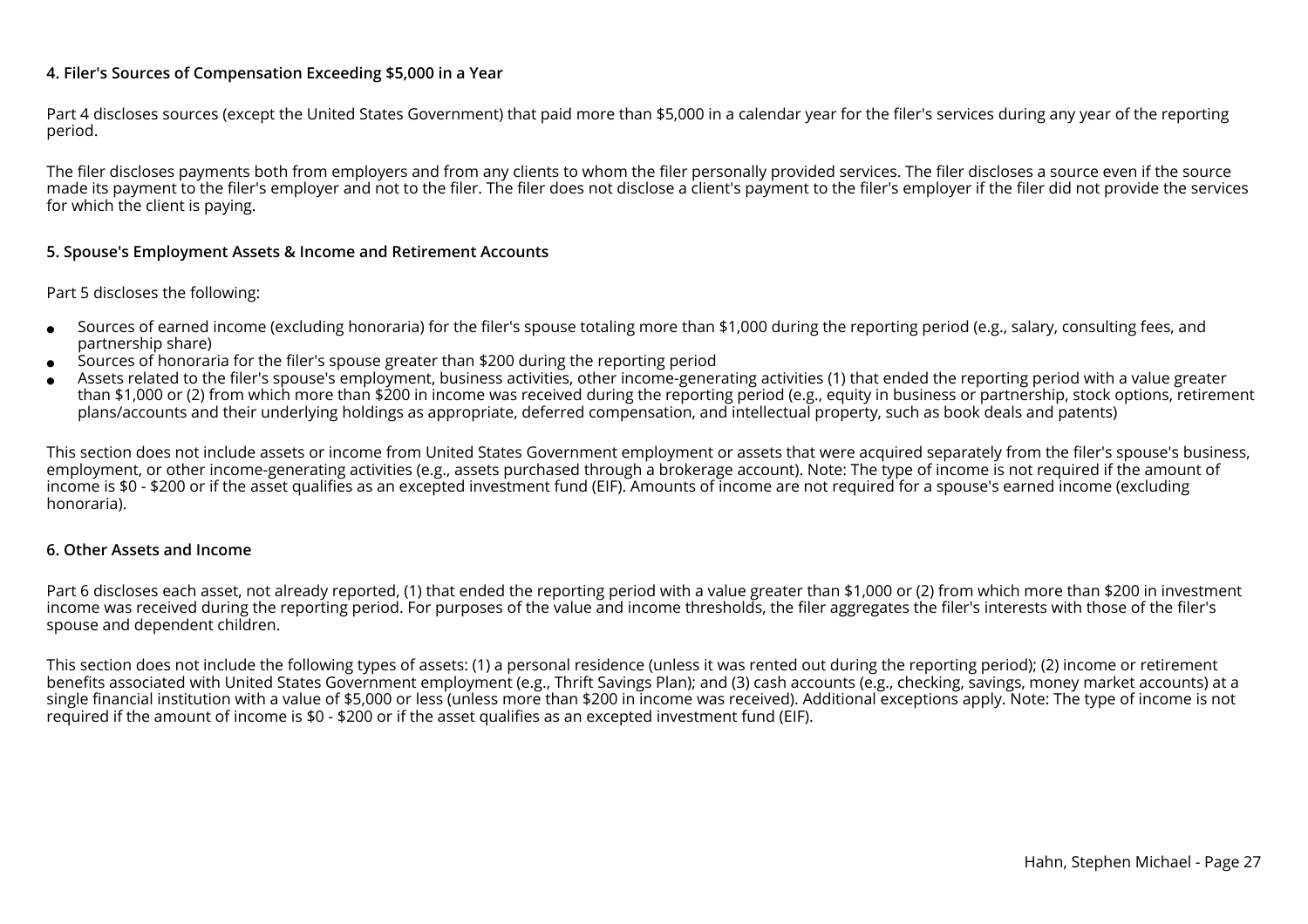#### **4. Filer's Sources of Compensation Exceeding \$5,000 in a Year**

Part 4 discloses sources (except the United States Government) that paid more than \$5,000 in a calendar year for the filer's services during any year of the reportingperiod.

The filer discloses payments both from employers and from any clients to whom the filer personally provided services. The filer discloses a source even if the source made its payment to the filer's employer and not to the filer. The filer does not disclose a client's payment to the filer's employer if the filer did not provide the servicesfor which the client is paying.

#### **5. Spouse's Employment Assets & Income and Retirement Accounts**

#### Part 5 discloses the following:

- ●Sources of earned income (excluding honoraria) for the filer's spouse totaling more than \$1,000 during the reporting period (e.g., salary, consulting fees, andpartnership share)
- ●Sources of honoraria for the filer's spouse greater than \$200 during the reporting period
- ● Assets related to the filer's spouse's employment, business activities, other income-generating activities (1) that ended the reporting period with a value greater than \$1,000 or (2) from which more than \$200 in income was received during the reporting period (e.g., equity in business or partnership, stock options, retirementplans/accounts and their underlying holdings as appropriate, deferred compensation, and intellectual property, such as book deals and patents)

This section does not include assets or income from United States Government employment or assets that were acquired separately from the filer's spouse's business,employment, or other income-generating activities (e.g., assets purchased through a brokerage account). Note: The type of income is not required if the amount ofincome is \$0 - \$200 or if the asset qualifies as an excepted investment fund (EIF). Amounts of income are not required for a spouse's earned income (excludinghonoraria).

#### **6. Other Assets and Income**

Part 6 discloses each asset, not already reported, (1) that ended the reporting period with a value greater than \$1,000 or (2) from which more than \$200 in investmentincome was received during the reporting period. For purposes of the value and income thresholds, the filer aggregates the filer's interests with those of the filer'sspouse and dependent children.

This section does not include the following types of assets: (1) a personal residence (unless it was rented out during the reporting period); (2) income or retirement benefits associated with United States Government employment (e.g., Thrift Savings Plan); and (3) cash accounts (e.g., checking, savings, money market accounts) at a single financial institution with a value of \$5,000 or less (unless more than \$200 in income was received). Additional exceptions apply. Note: The type of income is notrequired if the amount of income is \$0 - \$200 or if the asset qualifies as an excepted investment fund (EIF).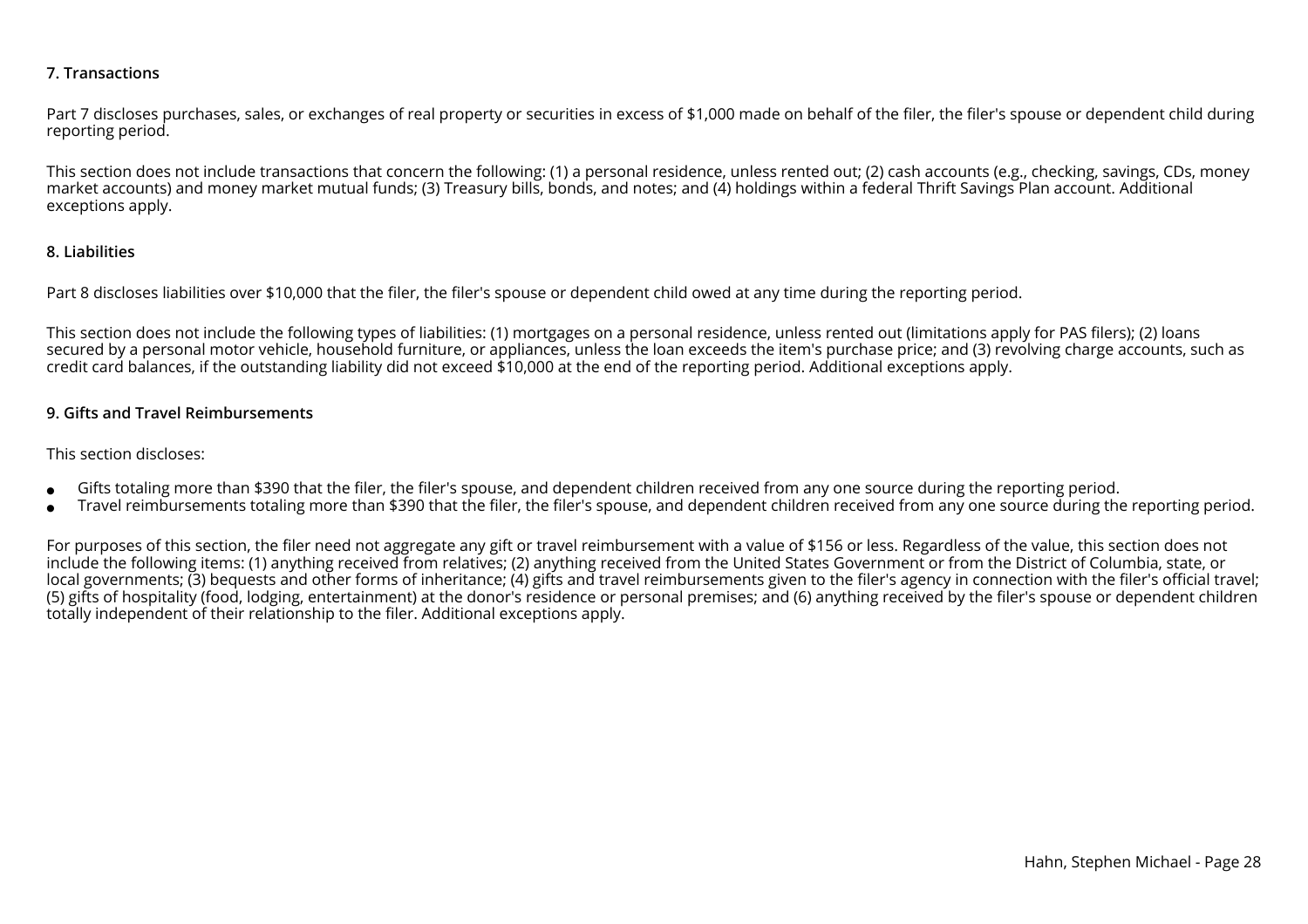#### **7. Transactions**

Part 7 discloses purchases, sales, or exchanges of real property or securities in excess of \$1,000 made on behalf of the filer, the filer's spouse or dependent child during reporting period.

This section does not include transactions that concern the following: (1) a personal residence, unless rented out; (2) cash accounts (e.g., checking, savings, CDs, moneymarket accounts) and money market mutual funds; (3) Treasury bills, bonds, and notes; and (4) holdings within a federal Thrift Savings Plan account. Additionalexceptions apply.

#### **8. Liabilities**

Part 8 discloses liabilities over \$10,000 that the filer, the filer's spouse or dependent child owed at any time during the reporting period.

This section does not include the following types of liabilities: (1) mortgages on a personal residence, unless rented out (limitations apply for PAS filers); (2) loans secured by a personal motor vehicle, household furniture, or appliances, unless the loan exceeds the item's purchase price; and (3) revolving charge accounts, such ascredit card balances, if the outstanding liability did not exceed \$10,000 at the end of the reporting period. Additional exceptions apply.

#### **9. Gifts and Travel Reimbursements**

#### This section discloses:

- ●Gifts totaling more than \$390 that the filer, the filer's spouse, and dependent children received from any one source during the reporting period.
- ●Travel reimbursements totaling more than \$390 that the filer, the filer's spouse, and dependent children received from any one source during the reporting period.

For purposes of this section, the filer need not aggregate any gift or travel reimbursement with a value of \$156 or less. Regardless of the value, this section does not include the following items: (1) anything received from relatives; (2) anything received from the United States Government or from the District of Columbia, state, or local governments; (3) bequests and other forms of inheritance; (4) gifts and travel reimbursements given to the filer's agency in connection with the filer's official travel; (5) gifts of hospitality (food, lodging, entertainment) at the donor's residence or personal premises; and (6) anything received by the filer's spouse or dependent childrentotally independent of their relationship to the filer. Additional exceptions apply.